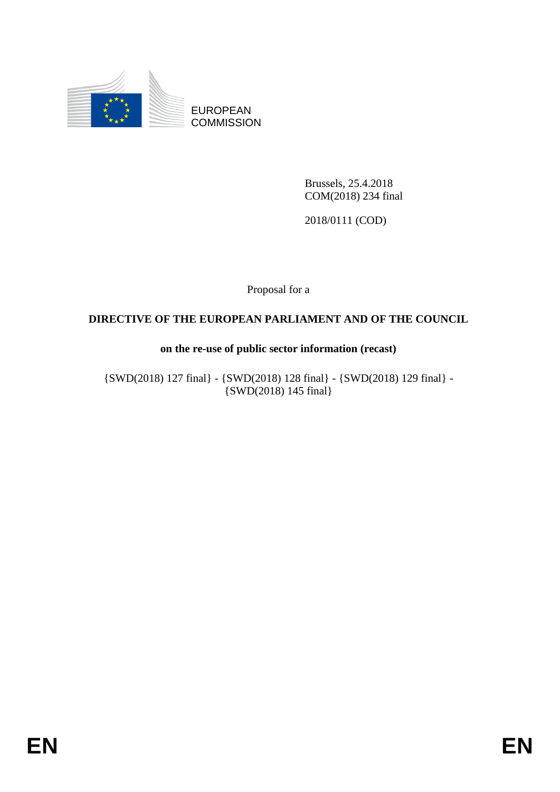

EUROPEAN **COMMISSION** 

> Brussels, 25.4.2018 COM(2018) 234 final

2018/0111 (COD)

Proposal for a

## **DIRECTIVE OF THE EUROPEAN PARLIAMENT AND OF THE COUNCIL**

## **on the re-use of public sector information (recast)**

{SWD(2018) 127 final} - {SWD(2018) 128 final} - {SWD(2018) 129 final} -  $\{SWD(2018) 145 \text{ final}\}$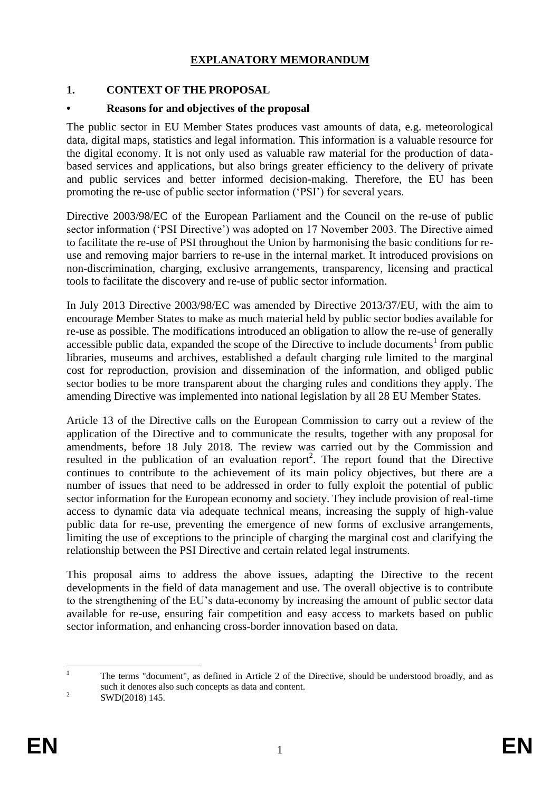#### **EXPLANATORY MEMORANDUM**

## **1. CONTEXT OF THE PROPOSAL**

#### **• Reasons for and objectives of the proposal**

The public sector in EU Member States produces vast amounts of data, e.g. meteorological data, digital maps, statistics and legal information. This information is a valuable resource for the digital economy. It is not only used as valuable raw material for the production of databased services and applications, but also brings greater efficiency to the delivery of private and public services and better informed decision-making. Therefore, the EU has been promoting the re-use of public sector information ('PSI') for several years.

Directive 2003/98/EC of the European Parliament and the Council on the re-use of public sector information ('PSI Directive') was adopted on 17 November 2003. The Directive aimed to facilitate the re-use of PSI throughout the Union by harmonising the basic conditions for reuse and removing major barriers to re-use in the internal market. It introduced provisions on non-discrimination, charging, exclusive arrangements, transparency, licensing and practical tools to facilitate the discovery and re-use of public sector information.

In July 2013 Directive 2003/98/EC was amended by Directive 2013/37/EU, with the aim to encourage Member States to make as much material held by public sector bodies available for re-use as possible. The modifications introduced an obligation to allow the re-use of generally accessible public data, expanded the scope of the Directive to include documents<sup>1</sup> from public libraries, museums and archives, established a default charging rule limited to the marginal cost for reproduction, provision and dissemination of the information, and obliged public sector bodies to be more transparent about the charging rules and conditions they apply. The amending Directive was implemented into national legislation by all 28 EU Member States.

Article 13 of the Directive calls on the European Commission to carry out a review of the application of the Directive and to communicate the results, together with any proposal for amendments, before 18 July 2018. The review was carried out by the Commission and resulted in the publication of an evaluation report<sup>2</sup>. The report found that the Directive continues to contribute to the achievement of its main policy objectives, but there are a number of issues that need to be addressed in order to fully exploit the potential of public sector information for the European economy and society. They include provision of real-time access to dynamic data via adequate technical means, increasing the supply of high-value public data for re-use, preventing the emergence of new forms of exclusive arrangements, limiting the use of exceptions to the principle of charging the marginal cost and clarifying the relationship between the PSI Directive and certain related legal instruments.

This proposal aims to address the above issues, adapting the Directive to the recent developments in the field of data management and use. The overall objective is to contribute to the strengthening of the EU's data-economy by increasing the amount of public sector data available for re-use, ensuring fair competition and easy access to markets based on public sector information, and enhancing cross-border innovation based on data.

 $\overline{1}$ <sup>1</sup> The terms "document", as defined in Article 2 of the Directive, should be understood broadly, and as such it denotes also such concepts as data and content.

<sup>2</sup> SWD(2018) 145.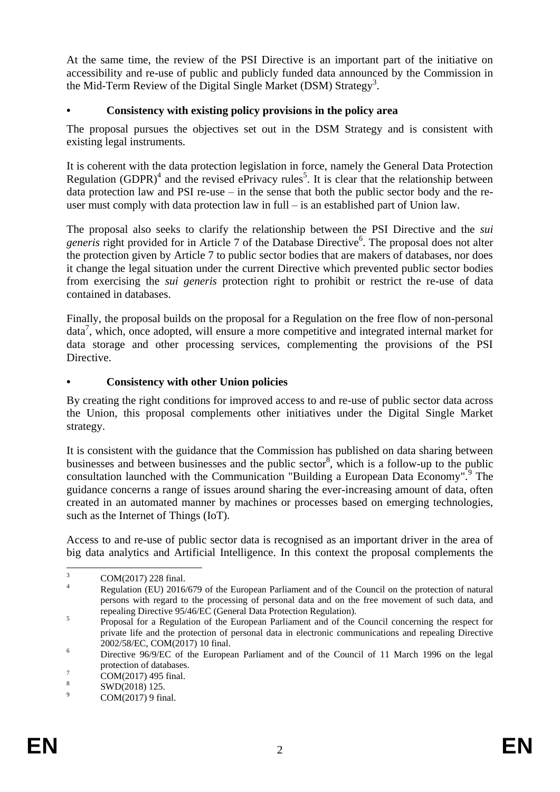At the same time, the review of the PSI Directive is an important part of the initiative on accessibility and re-use of public and publicly funded data announced by the Commission in the Mid-Term Review of the Digital Single Market (DSM) Strategy<sup>3</sup>.

#### **• Consistency with existing policy provisions in the policy area**

The proposal pursues the objectives set out in the DSM Strategy and is consistent with existing legal instruments.

It is coherent with the data protection legislation in force, namely the General Data Protection Regulation  $(GDPR)^4$  and the revised ePrivacy rules<sup>5</sup>. It is clear that the relationship between data protection law and PSI re-use – in the sense that both the public sector body and the reuser must comply with data protection law in full – is an established part of Union law.

The proposal also seeks to clarify the relationship between the PSI Directive and the *sui*  generis right provided for in Article 7 of the Database Directive<sup>6</sup>. The proposal does not alter the protection given by Article 7 to public sector bodies that are makers of databases, nor does it change the legal situation under the current Directive which prevented public sector bodies from exercising the *sui generis* protection right to prohibit or restrict the re-use of data contained in databases.

Finally, the proposal builds on the proposal for a Regulation on the free flow of non-personal data<sup>7</sup> , which, once adopted, will ensure a more competitive and integrated internal market for data storage and other processing services, complementing the provisions of the PSI Directive.

#### **• Consistency with other Union policies**

By creating the right conditions for improved access to and re-use of public sector data across the Union, this proposal complements other initiatives under the Digital Single Market strategy.

It is consistent with the guidance that the Commission has published on data sharing between businesses and between businesses and the public sector<sup>8</sup>, which is a follow-up to the public consultation launched with the Communication "Building a European Data Economy".<sup>9</sup> The guidance concerns a range of issues around sharing the ever-increasing amount of data, often created in an automated manner by machines or processes based on emerging technologies, such as the Internet of Things (IoT).

Access to and re-use of public sector data is recognised as an important driver in the area of big data analytics and Artificial Intelligence. In this context the proposal complements the

 $\overline{3}$  $\frac{3}{4}$  COM(2017) 228 final.

Regulation (EU) 2016/679 of the European Parliament and of the Council on the protection of natural persons with regard to the processing of personal data and on the free movement of such data, and repealing Directive 95/46/EC (General Data Protection Regulation).

<sup>5</sup> Proposal for a Regulation of the European Parliament and of the Council concerning the respect for private life and the protection of personal data in electronic communications and repealing Directive 2002/58/EC, COM(2017) 10 final.

<sup>6</sup> Directive 96/9/EC of the European Parliament and of the Council of 11 March 1996 on the legal protection of databases.

 $^7$  COM(2017) 495 final.

<sup>8</sup> SWD(2018) 125.

 $9 \qquad \qquad \text{COM}(2017) \; 9 \text{ final.}$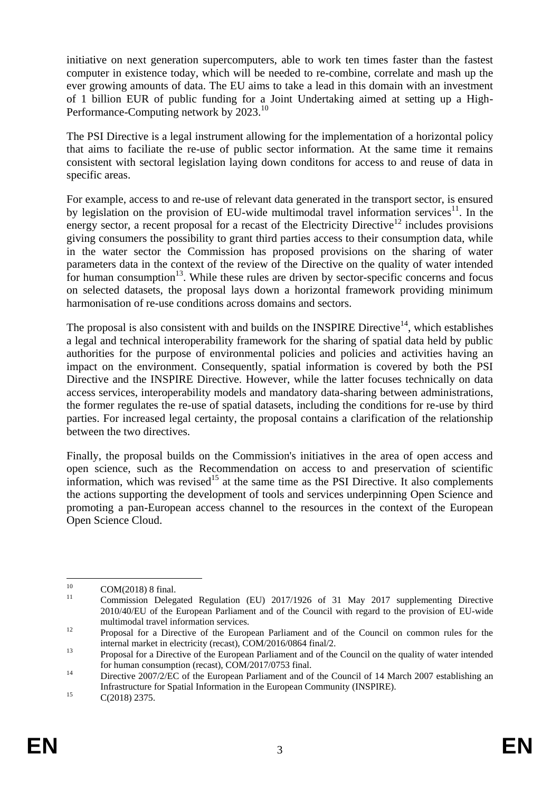initiative on next generation supercomputers, able to work ten times faster than the fastest computer in existence today, which will be needed to re-combine, correlate and mash up the ever growing amounts of data. The EU aims to take a lead in this domain with an investment of 1 billion EUR of public funding for a Joint Undertaking aimed at setting up a High-Performance-Computing network by 2023.<sup>10</sup>

The PSI Directive is a legal instrument allowing for the implementation of a horizontal policy that aims to faciliate the re-use of public sector information. At the same time it remains consistent with sectoral legislation laying down conditons for access to and reuse of data in specific areas.

For example, access to and re-use of relevant data generated in the transport sector, is ensured by legislation on the provision of EU-wide multimodal travel information services<sup>11</sup>. In the energy sector, a recent proposal for a recast of the Electricity Directive<sup>12</sup> includes provisions giving consumers the possibility to grant third parties access to their consumption data, while in the water sector the Commission has proposed provisions on the sharing of water parameters data in the context of the review of the Directive on the quality of water intended for human consumption<sup>13</sup>. While these rules are driven by sector-specific concerns and focus on selected datasets, the proposal lays down a horizontal framework providing minimum harmonisation of re-use conditions across domains and sectors.

The proposal is also consistent with and builds on the INSPIRE Directive<sup>14</sup>, which establishes a legal and technical interoperability framework for the sharing of spatial data held by public authorities for the purpose of environmental policies and policies and activities having an impact on the environment. Consequently, spatial information is covered by both the PSI Directive and the INSPIRE Directive. However, while the latter focuses technically on data access services, interoperability models and mandatory data-sharing between administrations, the former regulates the re-use of spatial datasets, including the conditions for re-use by third parties. For increased legal certainty, the proposal contains a clarification of the relationship between the two directives.

Finally, the proposal builds on the Commission's initiatives in the area of open access and open science, such as the Recommendation on access to and preservation of scientific information, which was revised<sup>15</sup> at the same time as the PSI Directive. It also complements the actions supporting the development of tools and services underpinning Open Science and promoting a pan-European access channel to the resources in the context of the European Open Science Cloud.

 $10$  $10$  COM(2018) 8 final.

<sup>11</sup> Commission Delegated Regulation (EU) 2017/1926 of 31 May 2017 supplementing Directive 2010/40/EU of the European Parliament and of the Council with regard to the provision of EU-wide multimodal travel information services.

<sup>&</sup>lt;sup>12</sup> Proposal for a Directive of the European Parliament and of the Council on common rules for the internal market in electricity (recast), COM/2016/0864 final/2.

<sup>&</sup>lt;sup>13</sup> Proposal for a Directive of the European Parliament and of the Council on the quality of water intended for human consumption (recast), COM/2017/0753 final.

<sup>&</sup>lt;sup>14</sup> Directive 2007/2/EC of the European Parliament and of the Council of 14 March 2007 establishing an Infrastructure for Spatial Information in the European Community (INSPIRE).

 $15$  C(2018) 2375.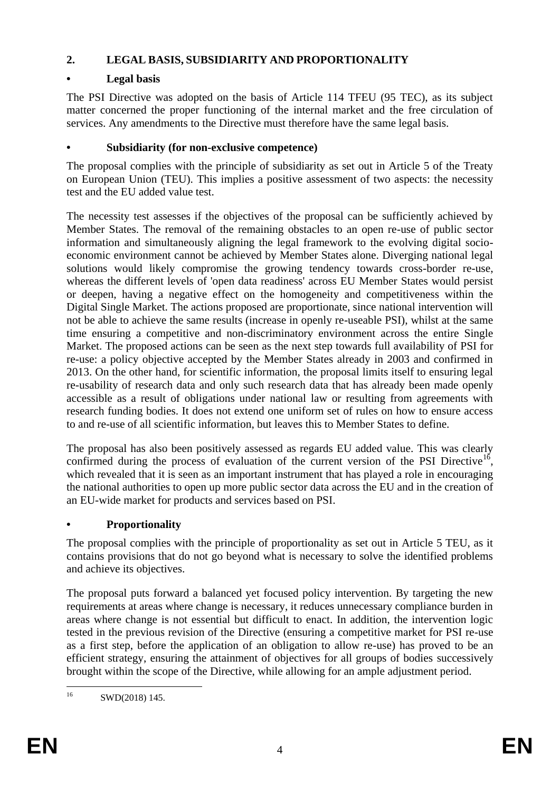# **2. LEGAL BASIS, SUBSIDIARITY AND PROPORTIONALITY**

## **• Legal basis**

The PSI Directive was adopted on the basis of Article 114 TFEU (95 TEC), as its subject matter concerned the proper functioning of the internal market and the free circulation of services. Any amendments to the Directive must therefore have the same legal basis.

#### **• Subsidiarity (for non-exclusive competence)**

The proposal complies with the principle of subsidiarity as set out in Article 5 of the Treaty on European Union (TEU). This implies a positive assessment of two aspects: the necessity test and the EU added value test.

The necessity test assesses if the objectives of the proposal can be sufficiently achieved by Member States. The removal of the remaining obstacles to an open re-use of public sector information and simultaneously aligning the legal framework to the evolving digital socioeconomic environment cannot be achieved by Member States alone. Diverging national legal solutions would likely compromise the growing tendency towards cross-border re-use, whereas the different levels of 'open data readiness' across EU Member States would persist or deepen, having a negative effect on the homogeneity and competitiveness within the Digital Single Market. The actions proposed are proportionate, since national intervention will not be able to achieve the same results (increase in openly re-useable PSI), whilst at the same time ensuring a competitive and non-discriminatory environment across the entire Single Market. The proposed actions can be seen as the next step towards full availability of PSI for re-use: a policy objective accepted by the Member States already in 2003 and confirmed in 2013. On the other hand, for scientific information, the proposal limits itself to ensuring legal re-usability of research data and only such research data that has already been made openly accessible as a result of obligations under national law or resulting from agreements with research funding bodies. It does not extend one uniform set of rules on how to ensure access to and re-use of all scientific information, but leaves this to Member States to define.

The proposal has also been positively assessed as regards EU added value. This was clearly confirmed during the process of evaluation of the current version of the PSI Directive<sup>16</sup>, which revealed that it is seen as an important instrument that has played a role in encouraging the national authorities to open up more public sector data across the EU and in the creation of an EU-wide market for products and services based on PSI.

# **• Proportionality**

The proposal complies with the principle of proportionality as set out in Article 5 TEU, as it contains provisions that do not go beyond what is necessary to solve the identified problems and achieve its objectives.

The proposal puts forward a balanced yet focused policy intervention. By targeting the new requirements at areas where change is necessary, it reduces unnecessary compliance burden in areas where change is not essential but difficult to enact. In addition, the intervention logic tested in the previous revision of the Directive (ensuring a competitive market for PSI re-use as a first step, before the application of an obligation to allow re-use) has proved to be an efficient strategy, ensuring the attainment of objectives for all groups of bodies successively brought within the scope of the Directive, while allowing for an ample adjustment period.

 $16$ SWD(2018) 145.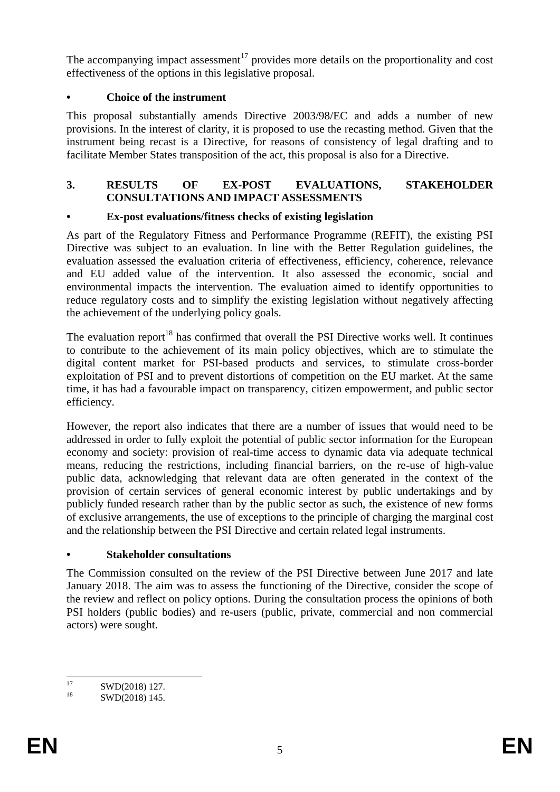The accompanying impact assessment<sup>17</sup> provides more details on the proportionality and cost effectiveness of the options in this legislative proposal.

#### **• Choice of the instrument**

This proposal substantially amends Directive 2003/98/EC and adds a number of new provisions. In the interest of clarity, it is proposed to use the recasting method. Given that the instrument being recast is a Directive, for reasons of consistency of legal drafting and to facilitate Member States transposition of the act, this proposal is also for a Directive.

#### **3. RESULTS OF EX-POST EVALUATIONS, STAKEHOLDER CONSULTATIONS AND IMPACT ASSESSMENTS**

## **• Ex-post evaluations/fitness checks of existing legislation**

As part of the Regulatory Fitness and Performance Programme (REFIT), the existing PSI Directive was subject to an evaluation. In line with the Better Regulation guidelines, the evaluation assessed the evaluation criteria of effectiveness, efficiency, coherence, relevance and EU added value of the intervention. It also assessed the economic, social and environmental impacts the intervention. The evaluation aimed to identify opportunities to reduce regulatory costs and to simplify the existing legislation without negatively affecting the achievement of the underlying policy goals.

The evaluation report<sup>18</sup> has confirmed that overall the PSI Directive works well. It continues to contribute to the achievement of its main policy objectives, which are to stimulate the digital content market for PSI-based products and services, to stimulate cross-border exploitation of PSI and to prevent distortions of competition on the EU market. At the same time, it has had a favourable impact on transparency, citizen empowerment, and public sector efficiency.

However, the report also indicates that there are a number of issues that would need to be addressed in order to fully exploit the potential of public sector information for the European economy and society: provision of real-time access to dynamic data via adequate technical means, reducing the restrictions, including financial barriers, on the re-use of high-value public data, acknowledging that relevant data are often generated in the context of the provision of certain services of general economic interest by public undertakings and by publicly funded research rather than by the public sector as such, the existence of new forms of exclusive arrangements, the use of exceptions to the principle of charging the marginal cost and the relationship between the PSI Directive and certain related legal instruments.

#### **• Stakeholder consultations**

The Commission consulted on the review of the PSI Directive between June 2017 and late January 2018. The aim was to assess the functioning of the Directive, consider the scope of the review and reflect on policy options. During the consultation process the opinions of both PSI holders (public bodies) and re-users (public, private, commercial and non commercial actors) were sought.

 $17$  $^{17}$  SWD(2018) 127.<br>  $^{18}$  SWD(2018) 145

SWD(2018) 145.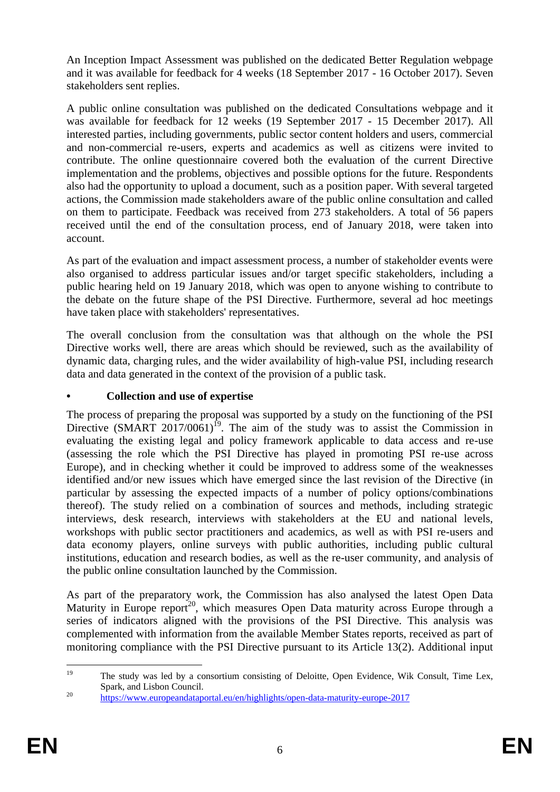An Inception Impact Assessment was published on the dedicated Better Regulation webpage and it was available for feedback for 4 weeks (18 September 2017 - 16 October 2017). Seven stakeholders sent replies.

A public online consultation was published on the dedicated Consultations webpage and it was available for feedback for 12 weeks (19 September 2017 - 15 December 2017). All interested parties, including governments, public sector content holders and users, commercial and non-commercial re-users, experts and academics as well as citizens were invited to contribute. The online questionnaire covered both the evaluation of the current Directive implementation and the problems, objectives and possible options for the future. Respondents also had the opportunity to upload a document, such as a position paper. With several targeted actions, the Commission made stakeholders aware of the public online consultation and called on them to participate. Feedback was received from 273 stakeholders. A total of 56 papers received until the end of the consultation process, end of January 2018, were taken into account.

As part of the evaluation and impact assessment process, a number of stakeholder events were also organised to address particular issues and/or target specific stakeholders, including a public hearing held on 19 January 2018, which was open to anyone wishing to contribute to the debate on the future shape of the PSI Directive. Furthermore, several ad hoc meetings have taken place with stakeholders' representatives.

The overall conclusion from the consultation was that although on the whole the PSI Directive works well, there are areas which should be reviewed, such as the availability of dynamic data, charging rules, and the wider availability of high-value PSI, including research data and data generated in the context of the provision of a public task.

## **• Collection and use of expertise**

The process of preparing the proposal was supported by a study on the functioning of the PSI Directive (SMART 2017/0061)<sup>19</sup>. The aim of the study was to assist the Commission in evaluating the existing legal and policy framework applicable to data access and re-use (assessing the role which the PSI Directive has played in promoting PSI re-use across Europe), and in checking whether it could be improved to address some of the weaknesses identified and/or new issues which have emerged since the last revision of the Directive (in particular by assessing the expected impacts of a number of policy options/combinations thereof). The study relied on a combination of sources and methods, including strategic interviews, desk research, interviews with stakeholders at the EU and national levels, workshops with public sector practitioners and academics, as well as with PSI re-users and data economy players, online surveys with public authorities, including public cultural institutions, education and research bodies, as well as the re-user community, and analysis of the public online consultation launched by the Commission.

As part of the preparatory work, the Commission has also analysed the latest Open Data Maturity in Europe report<sup>20</sup>, which measures Open Data maturity across Europe through a series of indicators aligned with the provisions of the PSI Directive. This analysis was complemented with information from the available Member States reports, received as part of monitoring compliance with the PSI Directive pursuant to its Article 13(2). Additional input

<sup>19</sup> <sup>19</sup> The study was led by a consortium consisting of Deloitte, Open Evidence, Wik Consult, Time Lex, Spark, and Lisbon Council.

<sup>20</sup> <https://www.europeandataportal.eu/en/highlights/open-data-maturity-europe-2017>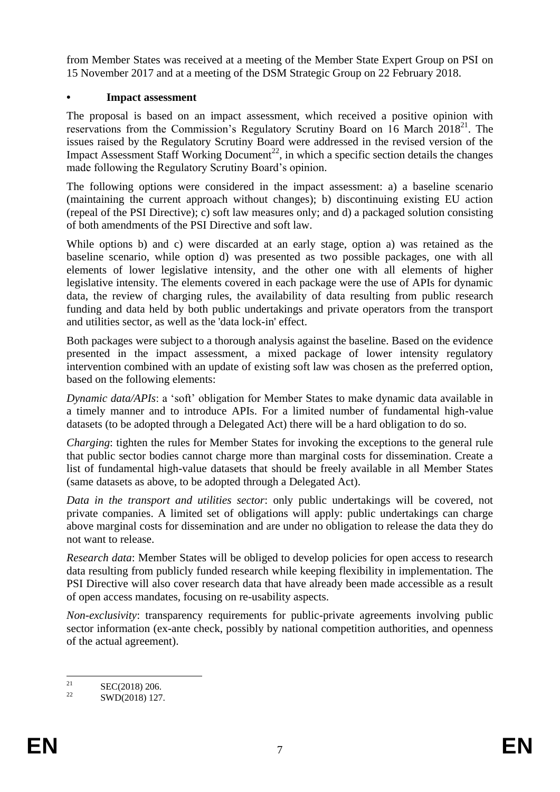from Member States was received at a meeting of the Member State Expert Group on PSI on 15 November 2017 and at a meeting of the DSM Strategic Group on 22 February 2018.

#### **• Impact assessment**

The proposal is based on an impact assessment, which received a positive opinion with reservations from the Commission's Regulatory Scrutiny Board on  $16$  March  $2018<sup>21</sup>$ . The issues raised by the Regulatory Scrutiny Board were addressed in the revised version of the Impact Assessment Staff Working Document<sup>22</sup>, in which a specific section details the changes made following the Regulatory Scrutiny Board's opinion.

The following options were considered in the impact assessment: a) a baseline scenario (maintaining the current approach without changes); b) discontinuing existing EU action (repeal of the PSI Directive); c) soft law measures only; and d) a packaged solution consisting of both amendments of the PSI Directive and soft law.

While options b) and c) were discarded at an early stage, option a) was retained as the baseline scenario, while option d) was presented as two possible packages, one with all elements of lower legislative intensity, and the other one with all elements of higher legislative intensity. The elements covered in each package were the use of APIs for dynamic data, the review of charging rules, the availability of data resulting from public research funding and data held by both public undertakings and private operators from the transport and utilities sector, as well as the 'data lock-in' effect.

Both packages were subject to a thorough analysis against the baseline. Based on the evidence presented in the impact assessment, a mixed package of lower intensity regulatory intervention combined with an update of existing soft law was chosen as the preferred option, based on the following elements:

*Dynamic data/APIs*: a 'soft' obligation for Member States to make dynamic data available in a timely manner and to introduce APIs. For a limited number of fundamental high-value datasets (to be adopted through a Delegated Act) there will be a hard obligation to do so.

*Charging*: tighten the rules for Member States for invoking the exceptions to the general rule that public sector bodies cannot charge more than marginal costs for dissemination. Create a list of fundamental high-value datasets that should be freely available in all Member States (same datasets as above, to be adopted through a Delegated Act).

*Data in the transport and utilities sector*: only public undertakings will be covered, not private companies. A limited set of obligations will apply: public undertakings can charge above marginal costs for dissemination and are under no obligation to release the data they do not want to release.

*Research data*: Member States will be obliged to develop policies for open access to research data resulting from publicly funded research while keeping flexibility in implementation. The PSI Directive will also cover research data that have already been made accessible as a result of open access mandates, focusing on re-usability aspects.

*Non-exclusivity*: transparency requirements for public-private agreements involving public sector information (ex-ante check, possibly by national competition authorities, and openness of the actual agreement).

 $\overline{21}$ <sup>21</sup> SEC(2018) 206.

SWD(2018) 127.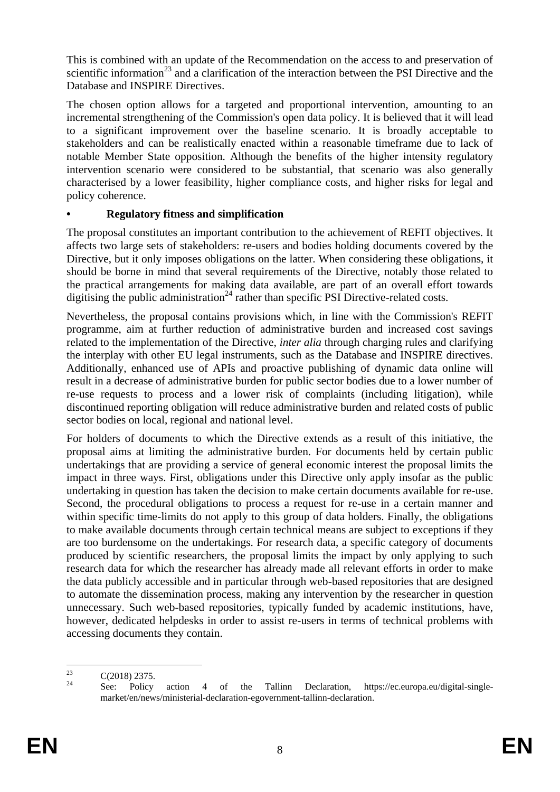This is combined with an update of the Recommendation on the access to and preservation of scientific information<sup>23</sup> and a clarification of the interaction between the PSI Directive and the Database and INSPIRE Directives.

The chosen option allows for a targeted and proportional intervention, amounting to an incremental strengthening of the Commission's open data policy. It is believed that it will lead to a significant improvement over the baseline scenario. It is broadly acceptable to stakeholders and can be realistically enacted within a reasonable timeframe due to lack of notable Member State opposition. Although the benefits of the higher intensity regulatory intervention scenario were considered to be substantial, that scenario was also generally characterised by a lower feasibility, higher compliance costs, and higher risks for legal and policy coherence.

#### **• Regulatory fitness and simplification**

The proposal constitutes an important contribution to the achievement of REFIT objectives. It affects two large sets of stakeholders: re-users and bodies holding documents covered by the Directive, but it only imposes obligations on the latter. When considering these obligations, it should be borne in mind that several requirements of the Directive, notably those related to the practical arrangements for making data available, are part of an overall effort towards digitising the public administration<sup>24</sup> rather than specific PSI Directive-related costs.

Nevertheless, the proposal contains provisions which, in line with the Commission's REFIT programme, aim at further reduction of administrative burden and increased cost savings related to the implementation of the Directive, *inter alia* through charging rules and clarifying the interplay with other EU legal instruments, such as the Database and INSPIRE directives. Additionally, enhanced use of APIs and proactive publishing of dynamic data online will result in a decrease of administrative burden for public sector bodies due to a lower number of re-use requests to process and a lower risk of complaints (including litigation), while discontinued reporting obligation will reduce administrative burden and related costs of public sector bodies on local, regional and national level.

For holders of documents to which the Directive extends as a result of this initiative, the proposal aims at limiting the administrative burden. For documents held by certain public undertakings that are providing a service of general economic interest the proposal limits the impact in three ways. First, obligations under this Directive only apply insofar as the public undertaking in question has taken the decision to make certain documents available for re-use. Second, the procedural obligations to process a request for re-use in a certain manner and within specific time-limits do not apply to this group of data holders. Finally, the obligations to make available documents through certain technical means are subject to exceptions if they are too burdensome on the undertakings. For research data, a specific category of documents produced by scientific researchers, the proposal limits the impact by only applying to such research data for which the researcher has already made all relevant efforts in order to make the data publicly accessible and in particular through web-based repositories that are designed to automate the dissemination process, making any intervention by the researcher in question unnecessary. Such web-based repositories, typically funded by academic institutions, have, however, dedicated helpdesks in order to assist re-users in terms of technical problems with accessing documents they contain.

 $2<sub>3</sub>$  $\frac{23}{24}$  C(2018) 2375.

See: Policy action 4 of the Tallinn Declaration, https://ec.europa.eu/digital-singlemarket/en/news/ministerial-declaration-egovernment-tallinn-declaration.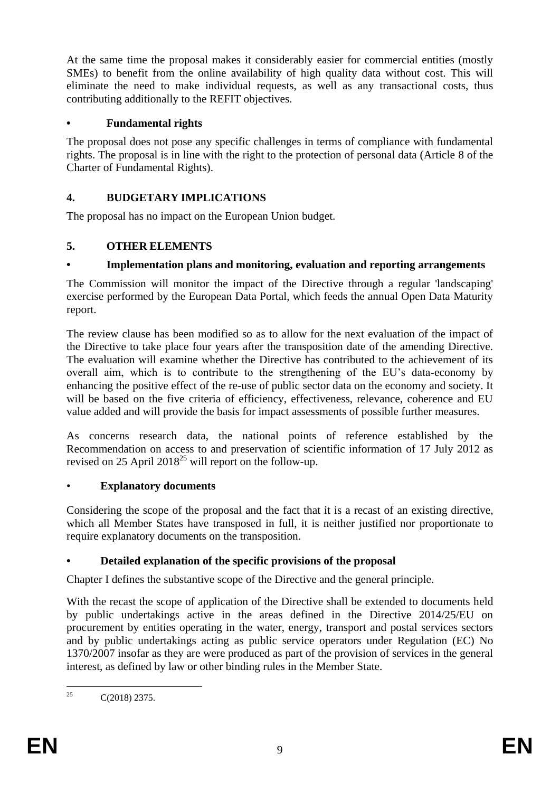At the same time the proposal makes it considerably easier for commercial entities (mostly SMEs) to benefit from the online availability of high quality data without cost. This will eliminate the need to make individual requests, as well as any transactional costs, thus contributing additionally to the REFIT objectives.

## **• Fundamental rights**

The proposal does not pose any specific challenges in terms of compliance with fundamental rights. The proposal is in line with the right to the protection of personal data (Article 8 of the Charter of Fundamental Rights).

## **4. BUDGETARY IMPLICATIONS**

The proposal has no impact on the European Union budget.

# **5. OTHER ELEMENTS**

# **• Implementation plans and monitoring, evaluation and reporting arrangements**

The Commission will monitor the impact of the Directive through a regular 'landscaping' exercise performed by the European Data Portal, which feeds the annual Open Data Maturity report.

The review clause has been modified so as to allow for the next evaluation of the impact of the Directive to take place four years after the transposition date of the amending Directive. The evaluation will examine whether the Directive has contributed to the achievement of its overall aim, which is to contribute to the strengthening of the EU's data-economy by enhancing the positive effect of the re-use of public sector data on the economy and society. It will be based on the five criteria of efficiency, effectiveness, relevance, coherence and EU value added and will provide the basis for impact assessments of possible further measures.

As concerns research data, the national points of reference established by the Recommendation on access to and preservation of scientific information of 17 July 2012 as revised on 25 April 2018<sup>25</sup> will report on the follow-up.

# • **Explanatory documents**

Considering the scope of the proposal and the fact that it is a recast of an existing directive, which all Member States have transposed in full, it is neither justified nor proportionate to require explanatory documents on the transposition.

# **• Detailed explanation of the specific provisions of the proposal**

Chapter I defines the substantive scope of the Directive and the general principle.

With the recast the scope of application of the Directive shall be extended to documents held by public undertakings active in the areas defined in the Directive 2014/25/EU on procurement by entities operating in the water, energy, transport and postal services sectors and by public undertakings acting as public service operators under Regulation (EC) No 1370/2007 insofar as they are were produced as part of the provision of services in the general interest, as defined by law or other binding rules in the Member State.

<sup>25</sup> C(2018) 2375.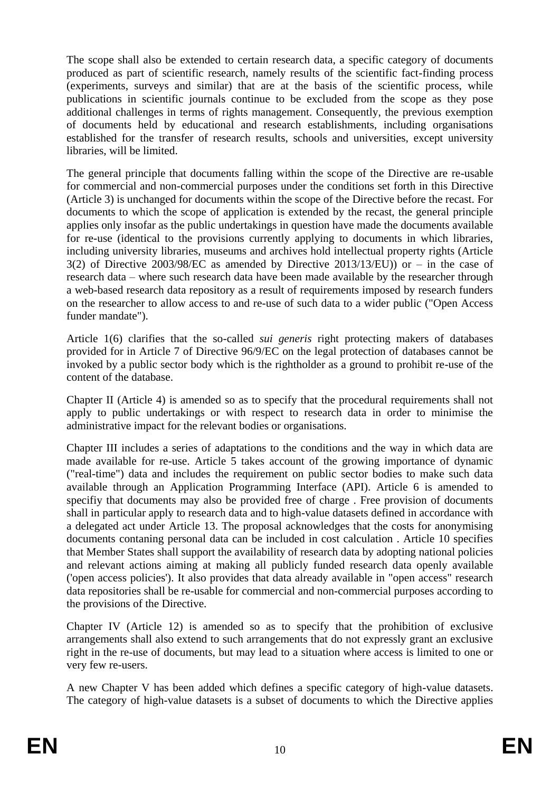The scope shall also be extended to certain research data, a specific category of documents produced as part of scientific research, namely results of the scientific fact-finding process (experiments, surveys and similar) that are at the basis of the scientific process, while publications in scientific journals continue to be excluded from the scope as they pose additional challenges in terms of rights management. Consequently, the previous exemption of documents held by educational and research establishments, including organisations established for the transfer of research results, schools and universities, except university libraries, will be limited.

The general principle that documents falling within the scope of the Directive are re-usable for commercial and non-commercial purposes under the conditions set forth in this Directive (Article 3) is unchanged for documents within the scope of the Directive before the recast. For documents to which the scope of application is extended by the recast, the general principle applies only insofar as the public undertakings in question have made the documents available for re-use (identical to the provisions currently applying to documents in which libraries, including university libraries, museums and archives hold intellectual property rights (Article 3(2) of Directive 2003/98/EC as amended by Directive 2013/13/EU)) or – in the case of research data – where such research data have been made available by the researcher through a web-based research data repository as a result of requirements imposed by research funders on the researcher to allow access to and re-use of such data to a wider public ("Open Access funder mandate").

Article 1(6) clarifies that the so-called *sui generis* right protecting makers of databases provided for in Article 7 of Directive 96/9/EC on the legal protection of databases cannot be invoked by a public sector body which is the rightholder as a ground to prohibit re-use of the content of the database.

Chapter II (Article 4) is amended so as to specify that the procedural requirements shall not apply to public undertakings or with respect to research data in order to minimise the administrative impact for the relevant bodies or organisations.

Chapter III includes a series of adaptations to the conditions and the way in which data are made available for re-use. Article 5 takes account of the growing importance of dynamic ("real-time") data and includes the requirement on public sector bodies to make such data available through an Application Programming Interface (API). Article 6 is amended to specifiy that documents may also be provided free of charge . Free provision of documents shall in particular apply to research data and to high-value datasets defined in accordance with a delegated act under Article 13. The proposal acknowledges that the costs for anonymising documents contaning personal data can be included in cost calculation . Article 10 specifies that Member States shall support the availability of research data by adopting national policies and relevant actions aiming at making all publicly funded research data openly available ('open access policies'). It also provides that data already available in "open access" research data repositories shall be re-usable for commercial and non-commercial purposes according to the provisions of the Directive.

Chapter IV (Article 12) is amended so as to specify that the prohibition of exclusive arrangements shall also extend to such arrangements that do not expressly grant an exclusive right in the re-use of documents, but may lead to a situation where access is limited to one or very few re-users.

A new Chapter V has been added which defines a specific category of high-value datasets. The category of high-value datasets is a subset of documents to which the Directive applies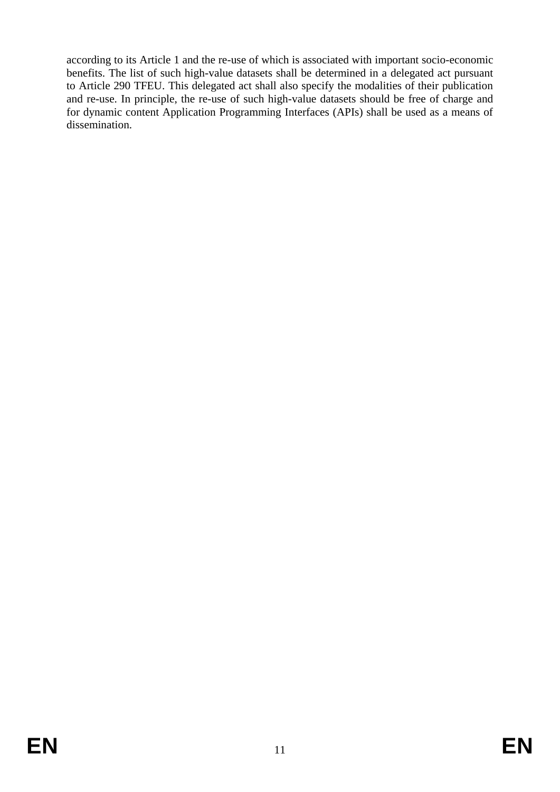according to its Article 1 and the re-use of which is associated with important socio-economic benefits. The list of such high-value datasets shall be determined in a delegated act pursuant to Article 290 TFEU. This delegated act shall also specify the modalities of their publication and re-use. In principle, the re-use of such high-value datasets should be free of charge and for dynamic content Application Programming Interfaces (APIs) shall be used as a means of dissemination.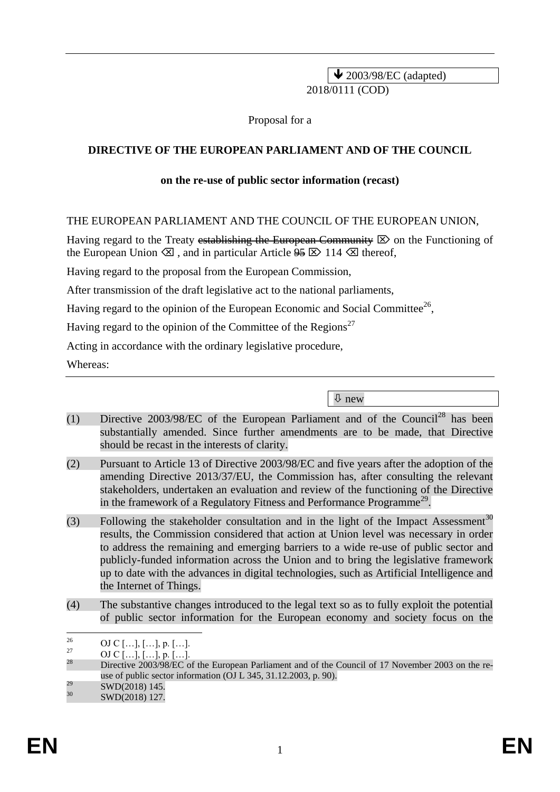$\sqrt{2003/98/EC}$  (adapted) 2018/0111 (COD)

Proposal for a

#### **DIRECTIVE OF THE EUROPEAN PARLIAMENT AND OF THE COUNCIL**

#### **on the re-use of public sector information (recast)**

#### THE EUROPEAN PARLIAMENT AND THE COUNCIL OF THE EUROPEAN UNION,

Having regard to the Treaty establishing the European Community  $\boxtimes$  on the Functioning of the European Union  $\otimes$ , and in particular Article  $\frac{15}{2}$   $\otimes$  114  $\otimes$  thereof,

Having regard to the proposal from the European Commission,

After transmission of the draft legislative act to the national parliaments,

Having regard to the opinion of the European Economic and Social Committee<sup>26</sup>,

Having regard to the opinion of the Committee of the Regions<sup>27</sup>

Acting in accordance with the ordinary legislative procedure,

Whereas:

new

- (1) Directive  $2003/98/EC$  of the European Parliament and of the Council<sup>28</sup> has been substantially amended. Since further amendments are to be made, that Directive should be recast in the interests of clarity.
- (2) Pursuant to Article 13 of Directive 2003/98/EC and five years after the adoption of the amending Directive 2013/37/EU, the Commission has, after consulting the relevant stakeholders, undertaken an evaluation and review of the functioning of the Directive in the framework of a Regulatory Fitness and Performance Programme<sup>29</sup>.
- (3) Following the stakeholder consultation and in the light of the Impact Assessment<sup>30</sup> results, the Commission considered that action at Union level was necessary in order to address the remaining and emerging barriers to a wide re-use of public sector and publicly-funded information across the Union and to bring the legislative framework up to date with the advances in digital technologies, such as Artificial Intelligence and the Internet of Things.
- (4) The substantive changes introduced to the legal text so as to fully exploit the potential of public sector information for the European economy and society focus on the

<sup>26</sup>  $^{26}$  OJ C […], […], p. […].

 $\frac{27}{28}$  OJ C [...], [...], p. [...].

<sup>28</sup> Directive 2003/98/EC of the European Parliament and of the Council of 17 November 2003 on the reuse of public sector information (OJ L 345, 31.12.2003, p. 90).

 $\frac{29}{30}$  SWD(2018) 145.

SWD(2018) 127.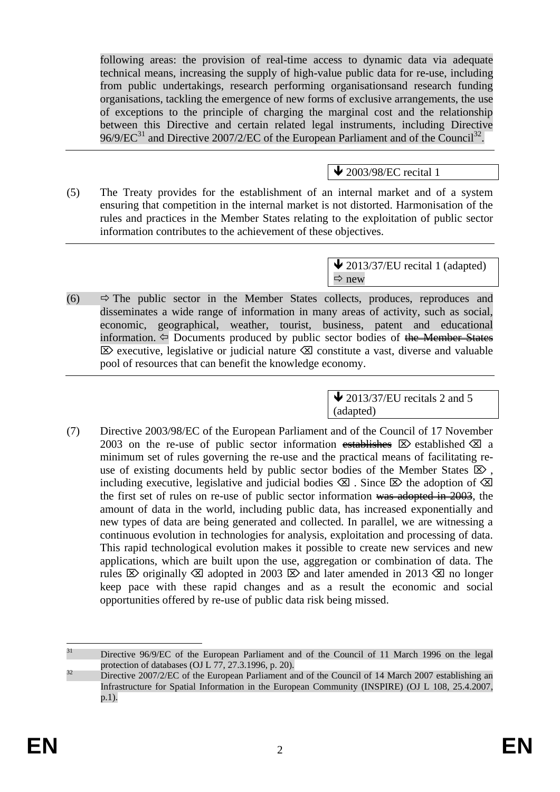following areas: the provision of real-time access to dynamic data via adequate technical means, increasing the supply of high-value public data for re-use, including from public undertakings, research performing organisationsand research funding organisations, tackling the emergence of new forms of exclusive arrangements, the use of exceptions to the principle of charging the marginal cost and the relationship between this Directive and certain related legal instruments, including Directive  $96/9/EC^{31}$  and Directive 2007/2/EC of the European Parliament and of the Council<sup>32</sup>.

# $\blacktriangleright$  2003/98/EC recital 1

(5) The Treaty provides for the establishment of an internal market and of a system ensuring that competition in the internal market is not distorted. Harmonisation of the rules and practices in the Member States relating to the exploitation of public sector information contributes to the achievement of these objectives.

> $\triangle$  2013/37/EU recital 1 (adapted)  $Arr$  new

(6)  $\Rightarrow$  The public sector in the Member States collects, produces, reproduces and disseminates a wide range of information in many areas of activity, such as social, economic, geographical, weather, tourist, business, patent and educational information.  $\Leftarrow$  Documents produced by public sector bodies of the Member States  $\boxtimes$  executive, legislative or judicial nature  $\boxtimes$  constitute a vast, diverse and valuable pool of resources that can benefit the knowledge economy.

> $\bigvee$  2013/37/EU recitals 2 and 5 (adapted)

(7) Directive 2003/98/EC of the European Parliament and of the Council of 17 November 2003 on the re-use of public sector information establishes  $\boxtimes$  established  $\boxtimes$  a minimum set of rules governing the re-use and the practical means of facilitating reuse of existing documents held by public sector bodies of the Member States  $\boxtimes$ . including executive, legislative and judicial bodies  $\otimes$ . Since  $\otimes$  the adoption of  $\otimes$ the first set of rules on re-use of public sector information was adopted in 2003, the amount of data in the world, including public data, has increased exponentially and new types of data are being generated and collected. In parallel, we are witnessing a continuous evolution in technologies for analysis, exploitation and processing of data. This rapid technological evolution makes it possible to create new services and new applications, which are built upon the use, aggregation or combination of data. The rules  $\boxtimes$  originally  $\boxtimes$  adopted in 2003  $\boxtimes$  and later amended in 2013  $\boxtimes$  no longer keep pace with these rapid changes and as a result the economic and social opportunities offered by re-use of public data risk being missed.

 $31$ Directive 96/9/EC of the European Parliament and of the Council of 11 March 1996 on the legal protection of databases (OJ L 77, 27.3.1996, p. 20).

<sup>&</sup>lt;sup>32</sup> Directive 2007/2/EC of the European Parliament and of the Council of 14 March 2007 establishing an Infrastructure for Spatial Information in the European Community (INSPIRE) (OJ L 108, 25.4.2007, p.1).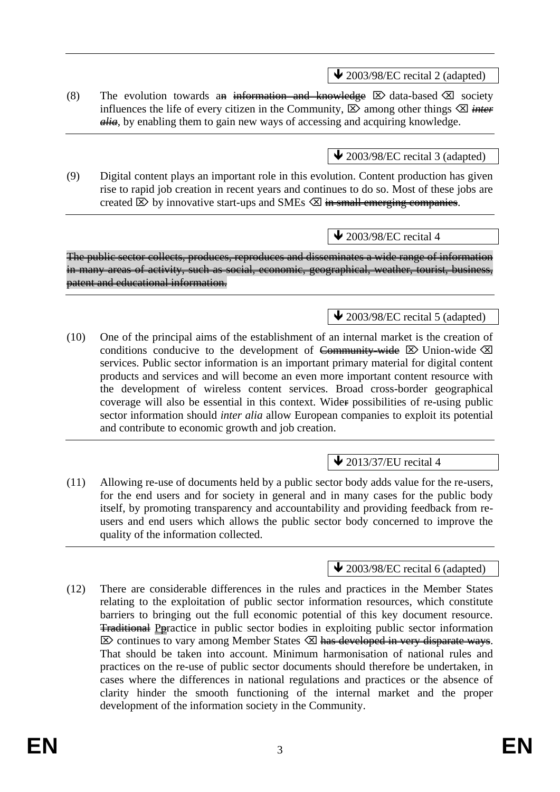(8) The evolution towards an information and knowledge  $\boxtimes$  data-based  $\boxtimes$  society influences the life of every citizen in the Community,  $\boxtimes$  among other things  $\boxtimes$  inter *alia*, by enabling them to gain new ways of accessing and acquiring knowledge.

(9) Digital content plays an important role in this evolution. Content production has given rise to rapid job creation in recent years and continues to do so. Most of these jobs are created  $\overline{\mathbb{E}}$  by innovative start-ups and SMEs  $\overline{\mathbb{E}}$  in small emerging companies.

The public sector collects, produces, reproduces and disseminates a wide range of information in many areas of activity, such as social, economic, geographical, weather, tourist, business, patent and educational information.

(10) One of the principal aims of the establishment of an internal market is the creation of conditions conducive to the development of Community-wide  $\boxtimes$  Union-wide  $\boxtimes$ services. Public sector information is an important primary material for digital content products and services and will become an even more important content resource with the development of wireless content services. Broad cross-border geographical coverage will also be essential in this context. Wider possibilities of re-using public sector information should *inter alia* allow European companies to exploit its potential and contribute to economic growth and job creation.

(11) Allowing re-use of documents held by a public sector body adds value for the re-users, for the end users and for society in general and in many cases for the public body itself, by promoting transparency and accountability and providing feedback from reusers and end users which allows the public sector body concerned to improve the quality of the information collected.

(12) There are considerable differences in the rules and practices in the Member States relating to the exploitation of public sector information resources, which constitute barriers to bringing out the full economic potential of this key document resource. Traditional Ppractice in public sector bodies in exploiting public sector information  $\boxtimes$  continues to vary among Member States  $\boxtimes$  has developed in very disparate ways. That should be taken into account. Minimum harmonisation of national rules and practices on the re-use of public sector documents should therefore be undertaken, in cases where the differences in national regulations and practices or the absence of clarity hinder the smooth functioning of the internal market and the proper development of the information society in the Community.

 $\triangle$  2003/98/EC recital 4

 $\bigvee$  2013/37/EU recital 4

 $\bigvee$  2003/98/EC recital 6 (adapted)

 $\triangle$  2003/98/EC recital 2 (adapted)

 $\bigvee$  2003/98/EC recital 3 (adapted)

 $\triangle$  2003/98/EC recital 5 (adapted)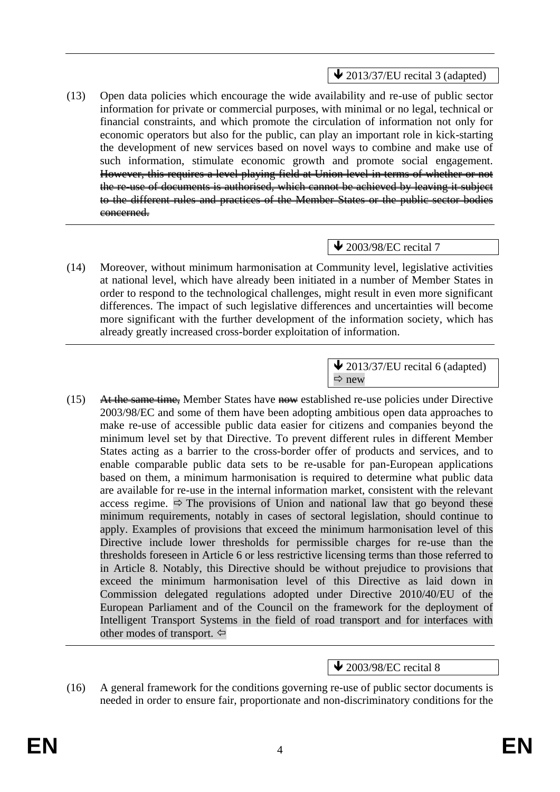$\triangle$  2013/37/EU recital 3 (adapted)

(13) Open data policies which encourage the wide availability and re-use of public sector information for private or commercial purposes, with minimal or no legal, technical or financial constraints, and which promote the circulation of information not only for economic operators but also for the public, can play an important role in kick-starting the development of new services based on novel ways to combine and make use of such information, stimulate economic growth and promote social engagement. However, this requires a level playing field at Union level in terms of whether or not the re-use of documents is authorised, which cannot be achieved by leaving it subject to the different rules and practices of the Member States or the public sector bodies eoncerned.

# $\bigvee$  2003/98/EC recital 7

- (14) Moreover, without minimum harmonisation at Community level, legislative activities at national level, which have already been initiated in a number of Member States in order to respond to the technological challenges, might result in even more significant differences. The impact of such legislative differences and uncertainties will become more significant with the further development of the information society, which has already greatly increased cross-border exploitation of information.
	- $\bigvee$  2013/37/EU recital 6 (adapted)  $\Rightarrow$  new
- (15) At the same time, Member States have now established re-use policies under Directive 2003/98/EC and some of them have been adopting ambitious open data approaches to make re-use of accessible public data easier for citizens and companies beyond the minimum level set by that Directive. To prevent different rules in different Member States acting as a barrier to the cross-border offer of products and services, and to enable comparable public data sets to be re-usable for pan-European applications based on them, a minimum harmonisation is required to determine what public data are available for re-use in the internal information market, consistent with the relevant access regime.  $\Rightarrow$  The provisions of Union and national law that go beyond these minimum requirements, notably in cases of sectoral legislation, should continue to apply. Examples of provisions that exceed the minimum harmonisation level of this Directive include lower thresholds for permissible charges for re-use than the thresholds foreseen in Article 6 or less restrictive licensing terms than those referred to in Article 8. Notably, this Directive should be without prejudice to provisions that exceed the minimum harmonisation level of this Directive as laid down in Commission delegated regulations adopted under Directive 2010/40/EU of the European Parliament and of the Council on the framework for the deployment of Intelligent Transport Systems in the field of road transport and for interfaces with other modes of transport.  $\Leftrightarrow$

#### $\triangle$  2003/98/EC recital 8

(16) A general framework for the conditions governing re-use of public sector documents is needed in order to ensure fair, proportionate and non-discriminatory conditions for the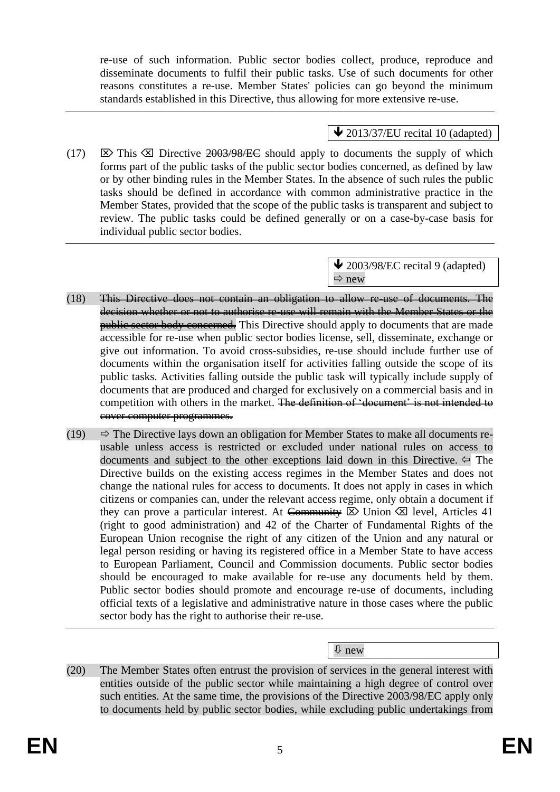re-use of such information. Public sector bodies collect, produce, reproduce and disseminate documents to fulfil their public tasks. Use of such documents for other reasons constitutes a re-use. Member States' policies can go beyond the minimum standards established in this Directive, thus allowing for more extensive re-use.

# $\bigvee$  2013/37/EU recital 10 (adapted)

(17)  $\boxtimes$  This  $\boxtimes$  Directive  $\frac{2003}{98}{\text{E}}\text{E}$  should apply to documents the supply of which forms part of the public tasks of the public sector bodies concerned, as defined by law or by other binding rules in the Member States. In the absence of such rules the public tasks should be defined in accordance with common administrative practice in the Member States, provided that the scope of the public tasks is transparent and subject to review. The public tasks could be defined generally or on a case-by-case basis for individual public sector bodies.

> $\bigvee$  2003/98/EC recital 9 (adapted)  $\Rightarrow$  new

- (18) This Directive does not contain an obligation to allow re-use of documents. The decision whether or not to authorise re-use will remain with the Member States or the public sector body concerned. This Directive should apply to documents that are made accessible for re-use when public sector bodies license, sell, disseminate, exchange or give out information. To avoid cross-subsidies, re-use should include further use of documents within the organisation itself for activities falling outside the scope of its public tasks. Activities falling outside the public task will typically include supply of documents that are produced and charged for exclusively on a commercial basis and in competition with others in the market. The definition of 'document' is not intended to cover computer programmes.
- (19)  $\Rightarrow$  The Directive lays down an obligation for Member States to make all documents reusable unless access is restricted or excluded under national rules on access to documents and subject to the other exceptions laid down in this Directive.  $\Leftarrow$  The Directive builds on the existing access regimes in the Member States and does not change the national rules for access to documents. It does not apply in cases in which citizens or companies can, under the relevant access regime, only obtain a document if they can prove a particular interest. At Community  $\boxtimes$  Union  $\boxtimes$  level, Articles 41 (right to good administration) and 42 of the Charter of Fundamental Rights of the European Union recognise the right of any citizen of the Union and any natural or legal person residing or having its registered office in a Member State to have access to European Parliament, Council and Commission documents. Public sector bodies should be encouraged to make available for re-use any documents held by them. Public sector bodies should promote and encourage re-use of documents, including official texts of a legislative and administrative nature in those cases where the public sector body has the right to authorise their re-use.

 $\sqrt{\Psi}$  new

(20) The Member States often entrust the provision of services in the general interest with entities outside of the public sector while maintaining a high degree of control over such entities. At the same time, the provisions of the Directive 2003/98/EC apply only to documents held by public sector bodies, while excluding public undertakings from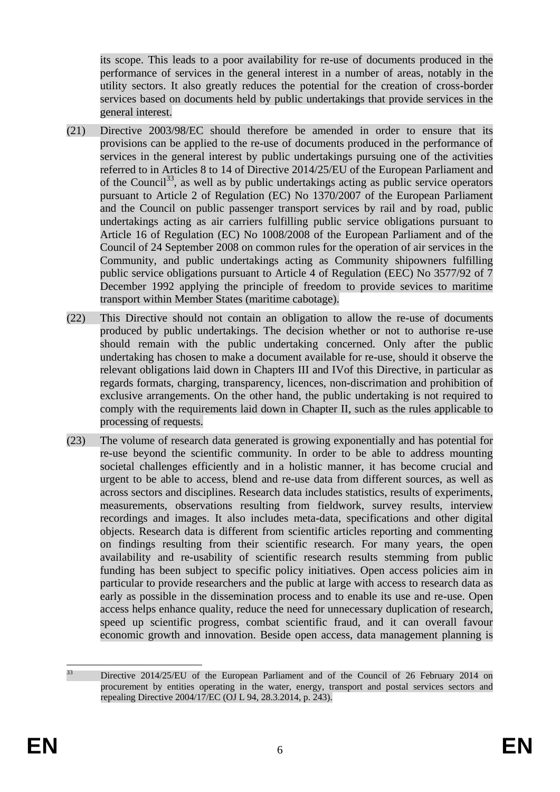its scope. This leads to a poor availability for re-use of documents produced in the performance of services in the general interest in a number of areas, notably in the utility sectors. It also greatly reduces the potential for the creation of cross-border services based on documents held by public undertakings that provide services in the general interest.

- (21) Directive 2003/98/EC should therefore be amended in order to ensure that its provisions can be applied to the re-use of documents produced in the performance of services in the general interest by public undertakings pursuing one of the activities referred to in Articles 8 to 14 of Directive 2014/25/EU of the European Parliament and of the Council<sup>33</sup>, as well as by public undertakings acting as public service operators pursuant to Article 2 of Regulation (EC) No 1370/2007 of the European Parliament and the Council on public passenger transport services by rail and by road, public undertakings acting as air carriers fulfilling public service obligations pursuant to Article 16 of Regulation (EC) No 1008/2008 of the European Parliament and of the Council of 24 September 2008 on common rules for the operation of air services in the Community, and public undertakings acting as Community shipowners fulfilling public service obligations pursuant to Article 4 of Regulation (EEC) No 3577/92 of 7 December 1992 applying the principle of freedom to provide sevices to maritime transport within Member States (maritime cabotage).
- (22) This Directive should not contain an obligation to allow the re-use of documents produced by public undertakings. The decision whether or not to authorise re-use should remain with the public undertaking concerned. Only after the public undertaking has chosen to make a document available for re-use, should it observe the relevant obligations laid down in Chapters III and IVof this Directive, in particular as regards formats, charging, transparency, licences, non-discrimation and prohibition of exclusive arrangements. On the other hand, the public undertaking is not required to comply with the requirements laid down in Chapter II, such as the rules applicable to processing of requests.
- (23) The volume of research data generated is growing exponentially and has potential for re-use beyond the scientific community. In order to be able to address mounting societal challenges efficiently and in a holistic manner, it has become crucial and urgent to be able to access, blend and re-use data from different sources, as well as across sectors and disciplines. Research data includes statistics, results of experiments, measurements, observations resulting from fieldwork, survey results, interview recordings and images. It also includes meta-data, specifications and other digital objects. Research data is different from scientific articles reporting and commenting on findings resulting from their scientific research. For many years, the open availability and re-usability of scientific research results stemming from public funding has been subject to specific policy initiatives. Open access policies aim in particular to provide researchers and the public at large with access to research data as early as possible in the dissemination process and to enable its use and re-use. Open access helps enhance quality, reduce the need for unnecessary duplication of research, speed up scientific progress, combat scientific fraud, and it can overall favour economic growth and innovation. Beside open access, data management planning is

<sup>33</sup> <sup>33</sup> Directive 2014/25/EU of the European Parliament and of the Council of 26 February 2014 on procurement by entities operating in the water, energy, transport and postal services sectors and repealing Directive 2004/17/EC (OJ L 94, 28.3.2014, p. 243).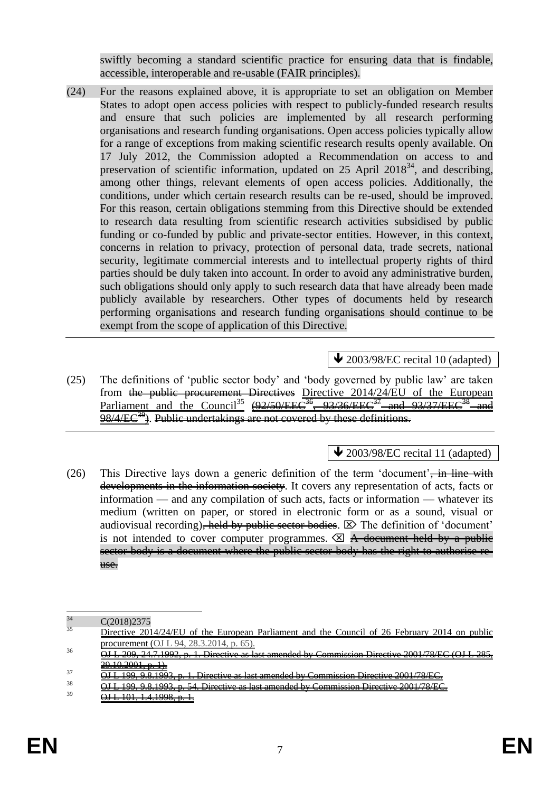swiftly becoming a standard scientific practice for ensuring data that is findable, accessible, interoperable and re-usable (FAIR principles).

(24) For the reasons explained above, it is appropriate to set an obligation on Member States to adopt open access policies with respect to publicly-funded research results and ensure that such policies are implemented by all research performing organisations and research funding organisations. Open access policies typically allow for a range of exceptions from making scientific research results openly available. On 17 July 2012, the Commission adopted a Recommendation on access to and preservation of scientific information, updated on 25 April  $2018<sup>34</sup>$ , and describing, among other things, relevant elements of open access policies. Additionally, the conditions, under which certain research results can be re-used, should be improved. For this reason, certain obligations stemming from this Directive should be extended to research data resulting from scientific research activities subsidised by public funding or co-funded by public and private-sector entities. However, in this context, concerns in relation to privacy, protection of personal data, trade secrets, national security, legitimate commercial interests and to intellectual property rights of third parties should be duly taken into account. In order to avoid any administrative burden, such obligations should only apply to such research data that have already been made publicly available by researchers. Other types of documents held by research performing organisations and research funding organisations should continue to be exempt from the scope of application of this Directive.

 $\triangle$  2003/98/EC recital 10 (adapted)

(25) The definitions of 'public sector body' and 'body governed by public law' are taken from the public procurement Directives Directive 2014/24/EU of the European Parliament and the Council<sup>35</sup>  $\left(92/50\right)\rightleftharpoons 93/36/EEC^3$  and  $93/37/EEC^3$  and  $98/4/EC<sup>39</sup>$ . Public undertakings are not covered by these definitions.

 $\bigvee$  2003/98/EC recital 11 (adapted)

(26) This Directive lays down a generic definition of the term 'document', in line with developments in the information society. It covers any representation of acts, facts or information — and any compilation of such acts, facts or information — whatever its medium (written on paper, or stored in electronic form or as a sound, visual or audiovisual recording), held by public sector bodies.  $\boxtimes$  The definition of 'document' is not intended to cover computer programmes.  $\boxtimes$  A document held by a public sector body is a document where the public sector body has the right to authorise reuse.

<sup>1</sup>  $\frac{34}{35}$  C(2018)2375

Directive 2014/24/EU of the European Parliament and the Council of 26 February 2014 on public procurement (OJ L 94, 28.3.2014)

<sup>36</sup> OJ L 209, 24.7.1992, p. 1. Directive as last amended by Commission Directive 2001/78/EC (OJ L 285,  $10.2001$ 

 $\overline{\Theta}$  L 199, 9.8.1993, p. 1. Directive as last amended by Commission Directive 2001/78/EC.

 $\frac{38}{39}$   $\frac{91 \cancel{199, 9.8.1993}}{21 \cancel{199, 9.8.1993}}$ ,  $\frac{54.$  Directive as last amended by

 $4.1008$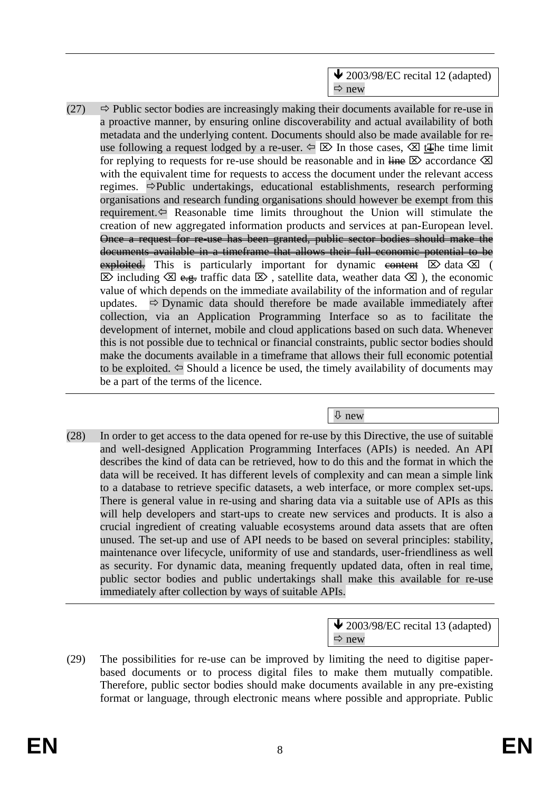$\triangle$  2003/98/EC recital 12 (adapted)  $\Rightarrow$  new

(27)  $\Rightarrow$  Public sector bodies are increasingly making their documents available for re-use in a proactive manner, by ensuring online discoverability and actual availability of both metadata and the underlying content. Documents should also be made available for reuse following a request lodged by a re-user.  $\Leftrightarrow \boxtimes$  In those cases,  $\boxtimes \underline{f}$  the time limit for replying to requests for re-use should be reasonable and in  $\lim_{\alpha \to \infty} \mathbb{E}$  accordance  $\otimes$ with the equivalent time for requests to access the document under the relevant access regimes.  $\Rightarrow$  Public undertakings, educational establishments, research performing organisations and research funding organisations should however be exempt from this requirement.  $\Leftarrow$  Reasonable time limits throughout the Union will stimulate the creation of new aggregated information products and services at pan-European level. Once a request for re-use has been granted, public sector bodies should make the documents available in a timeframe that allows their full economic potential to be exploited. This is particularly important for dynamic exploited  $\boxtimes$  data  $\boxtimes$  (  $\boxtimes$  including  $\boxtimes$   $\underset{\longleftarrow}{\text{e.g.}}$  traffic data  $\boxtimes$ , satellite data, weather data  $\boxtimes$ ), the economic value of which depends on the immediate availability of the information and of regular updates.  $\Rightarrow$  Dynamic data should therefore be made available immediately after collection, via an Application Programming Interface so as to facilitate the development of internet, mobile and cloud applications based on such data. Whenever this is not possible due to technical or financial constraints, public sector bodies should make the documents available in a timeframe that allows their full economic potential to be exploited.  $\Leftarrow$  Should a licence be used, the timely availability of documents may be a part of the terms of the licence.

new

(28) In order to get access to the data opened for re-use by this Directive, the use of suitable and well-designed Application Programming Interfaces (APIs) is needed. An API describes the kind of data can be retrieved, how to do this and the format in which the data will be received. It has different levels of complexity and can mean a simple link to a database to retrieve specific datasets, a web interface, or more complex set-ups. There is general value in re-using and sharing data via a suitable use of APIs as this will help developers and start-ups to create new services and products. It is also a crucial ingredient of creating valuable ecosystems around data assets that are often unused. The set-up and use of API needs to be based on several principles: stability, maintenance over lifecycle, uniformity of use and standards, user-friendliness as well as security. For dynamic data, meaning frequently updated data, often in real time, public sector bodies and public undertakings shall make this available for re-use immediately after collection by ways of suitable APIs.

> $\bigvee$  2003/98/EC recital 13 (adapted)  $\Rightarrow$  new

(29) The possibilities for re-use can be improved by limiting the need to digitise paperbased documents or to process digital files to make them mutually compatible. Therefore, public sector bodies should make documents available in any pre-existing format or language, through electronic means where possible and appropriate. Public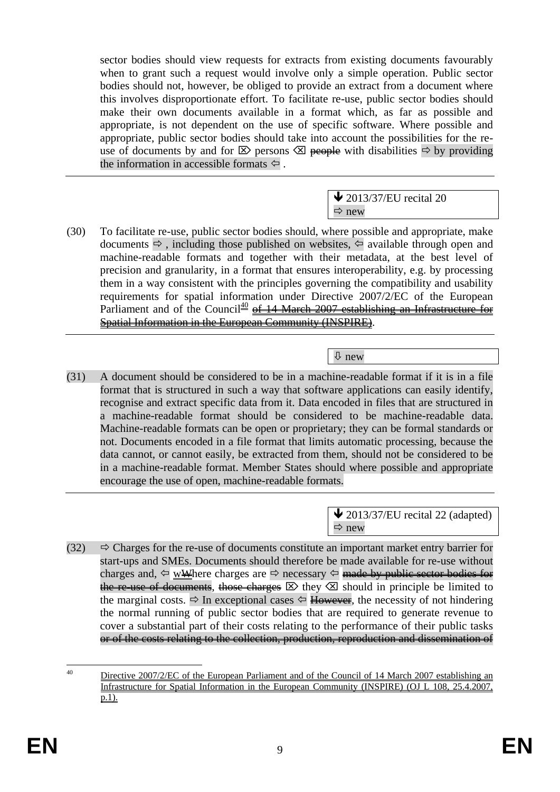sector bodies should view requests for extracts from existing documents favourably when to grant such a request would involve only a simple operation. Public sector bodies should not, however, be obliged to provide an extract from a document where this involves disproportionate effort. To facilitate re-use, public sector bodies should make their own documents available in a format which, as far as possible and appropriate, is not dependent on the use of specific software. Where possible and appropriate, public sector bodies should take into account the possibilities for the reuse of documents by and for  $\boxtimes$  persons  $\boxtimes$  people with disabilities  $\Rightarrow$  by providing the information in accessible formats  $\Leftarrow$ .

> $\triangle$  2013/37/EU recital 20  $\Rightarrow$  new

(30) To facilitate re-use, public sector bodies should, where possible and appropriate, make documents  $\Rightarrow$ , including those published on websites,  $\Leftarrow$  available through open and machine-readable formats and together with their metadata, at the best level of precision and granularity, in a format that ensures interoperability, e.g. by processing them in a way consistent with the principles governing the compatibility and usability requirements for spatial information under Directive 2007/2/EC of the European Parliament and of the Council<sup>40</sup> of 14 March 2007 establishing an Infrastructure for Spatial Information in the European Community (INSPIRE).

new

(31) A document should be considered to be in a machine-readable format if it is in a file format that is structured in such a way that software applications can easily identify, recognise and extract specific data from it. Data encoded in files that are structured in a machine-readable format should be considered to be machine-readable data. Machine-readable formats can be open or proprietary; they can be formal standards or not. Documents encoded in a file format that limits automatic processing, because the data cannot, or cannot easily, be extracted from them, should not be considered to be in a machine-readable format. Member States should where possible and appropriate encourage the use of open, machine-readable formats.

> $\bigvee$  2013/37/EU recital 22 (adapted)  $\Rightarrow$  new

 $(32)$   $\Rightarrow$  Charges for the re-use of documents constitute an important market entry barrier for start-ups and SMEs. Documents should therefore be made available for re-use without charges and,  $\Leftrightarrow$  wWhere charges are  $\Leftrightarrow$  necessary  $\Leftrightarrow$  made by public sector bodies for the re-use of documents, those charges  $\boxtimes$  they  $\boxtimes$  should in principle be limited to the marginal costs.  $\Rightarrow$  In exceptional cases  $\Leftarrow$  However, the necessity of not hindering the normal running of public sector bodies that are required to generate revenue to cover a substantial part of their costs relating to the performance of their public tasks or of the costs relating to the collection, production, reproduction and dissemination of

<sup>40</sup> Directive 2007/2/EC of the European Parliament and of the Council of 14 March 2007 establishing an Infrastructure for Spatial Information in the European Community (INSPIRE) (OJ L 108, 25.4.2007, p.1).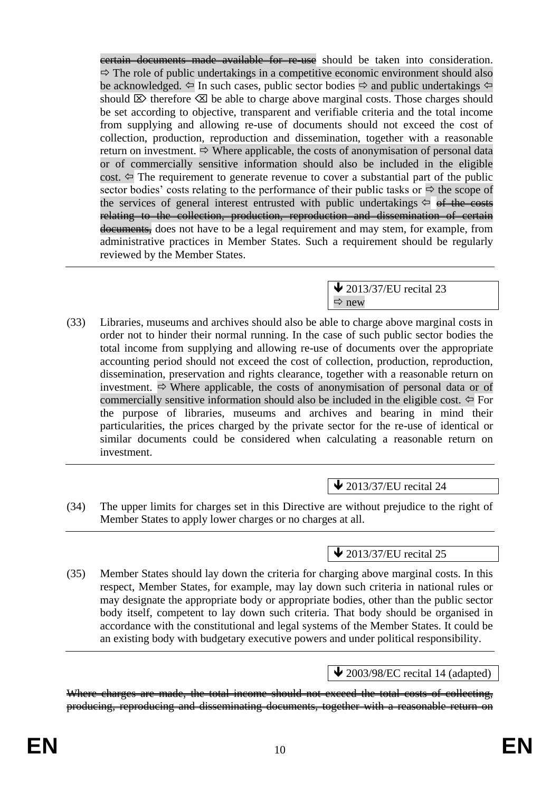certain documents made available for re-use should be taken into consideration.  $\Rightarrow$  The role of public undertakings in a competitive economic environment should also be acknowledged.  $\Leftarrow$  In such cases, public sector bodies  $\Rightarrow$  and public undertakings  $\Leftrightarrow$ should  $\boxtimes$  therefore  $\boxtimes$  be able to charge above marginal costs. Those charges should be set according to objective, transparent and verifiable criteria and the total income from supplying and allowing re-use of documents should not exceed the cost of collection, production, reproduction and dissemination, together with a reasonable return on investment.  $\Rightarrow$  Where applicable, the costs of anonymisation of personal data or of commercially sensitive information should also be included in the eligible cost.  $\Leftarrow$  The requirement to generate revenue to cover a substantial part of the public sector bodies' costs relating to the performance of their public tasks or  $\Rightarrow$  the scope of the services of general interest entrusted with public undertakings  $\Leftarrow$  of the costs relating to the collection, production, reproduction and dissemination of certain documents, does not have to be a legal requirement and may stem, for example, from administrative practices in Member States. Such a requirement should be regularly reviewed by the Member States.

> $\bigvee$  2013/37/EU recital 23  $\Rightarrow$  new

(33) Libraries, museums and archives should also be able to charge above marginal costs in order not to hinder their normal running. In the case of such public sector bodies the total income from supplying and allowing re-use of documents over the appropriate accounting period should not exceed the cost of collection, production, reproduction, dissemination, preservation and rights clearance, together with a reasonable return on investment.  $\Rightarrow$  Where applicable, the costs of anonymisation of personal data or of commercially sensitive information should also be included in the eligible cost.  $\Leftarrow$  For the purpose of libraries, museums and archives and bearing in mind their particularities, the prices charged by the private sector for the re-use of identical or similar documents could be considered when calculating a reasonable return on investment.

 $\bigvee$  2013/37/EU recital 24

(34) The upper limits for charges set in this Directive are without prejudice to the right of Member States to apply lower charges or no charges at all.

 $\blacktriangleright$  2013/37/EU recital 25

(35) Member States should lay down the criteria for charging above marginal costs. In this respect, Member States, for example, may lay down such criteria in national rules or may designate the appropriate body or appropriate bodies, other than the public sector body itself, competent to lay down such criteria. That body should be organised in accordance with the constitutional and legal systems of the Member States. It could be an existing body with budgetary executive powers and under political responsibility.

# $\bigvee$  2003/98/EC recital 14 (adapted)

Where charges are made, the total income should not exceed the total costs of collecting, producing, reproducing and disseminating documents, together with a reasonable return on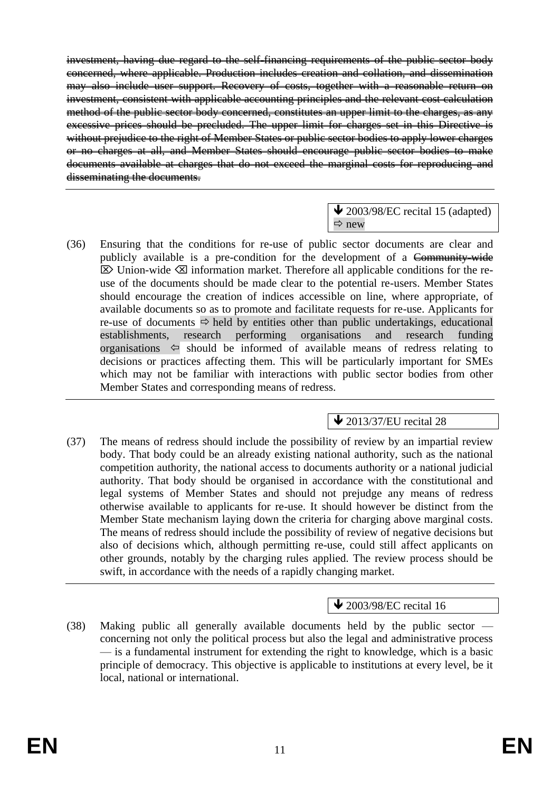investment, having due regard to the self-financing requirements of the public sector body concerned, where applicable. Production includes creation and collation, and dissemination may also include user support. Recovery of costs, together with a reasonable return on investment, consistent with applicable accounting principles and the relevant cost calculation method of the public sector body concerned, constitutes an upper limit to the charges, as any excessive prices should be precluded. The upper limit for charges set in this Directive is without prejudice to the right of Member States or public sector bodies to apply lower charges or no charges at all, and Member States should encourage public sector bodies to make documents available at charges that do not exceed the marginal costs for reproducing and disseminating the documents.

#### $\bigvee$  2003/98/EC recital 15 (adapted)  $\Rightarrow$  new

(36) Ensuring that the conditions for re-use of public sector documents are clear and publicly available is a pre-condition for the development of a Community-wide  $\boxtimes$  Union-wide  $\boxtimes$  information market. Therefore all applicable conditions for the reuse of the documents should be made clear to the potential re-users. Member States should encourage the creation of indices accessible on line, where appropriate, of available documents so as to promote and facilitate requests for re-use. Applicants for re-use of documents  $\Rightarrow$  held by entities other than public undertakings, educational establishments, research performing organisations and research funding organisations  $\Leftarrow$  should be informed of available means of redress relating to decisions or practices affecting them. This will be particularly important for SMEs which may not be familiar with interactions with public sector bodies from other Member States and corresponding means of redress.

# $\bigvee$  2013/37/EU recital 28

(37) The means of redress should include the possibility of review by an impartial review body. That body could be an already existing national authority, such as the national competition authority, the national access to documents authority or a national judicial authority. That body should be organised in accordance with the constitutional and legal systems of Member States and should not prejudge any means of redress otherwise available to applicants for re-use. It should however be distinct from the Member State mechanism laying down the criteria for charging above marginal costs. The means of redress should include the possibility of review of negative decisions but also of decisions which, although permitting re-use, could still affect applicants on other grounds, notably by the charging rules applied. The review process should be swift, in accordance with the needs of a rapidly changing market.

# $\bigvee$  2003/98/EC recital 16

(38) Making public all generally available documents held by the public sector concerning not only the political process but also the legal and administrative process — is a fundamental instrument for extending the right to knowledge, which is a basic principle of democracy. This objective is applicable to institutions at every level, be it local, national or international.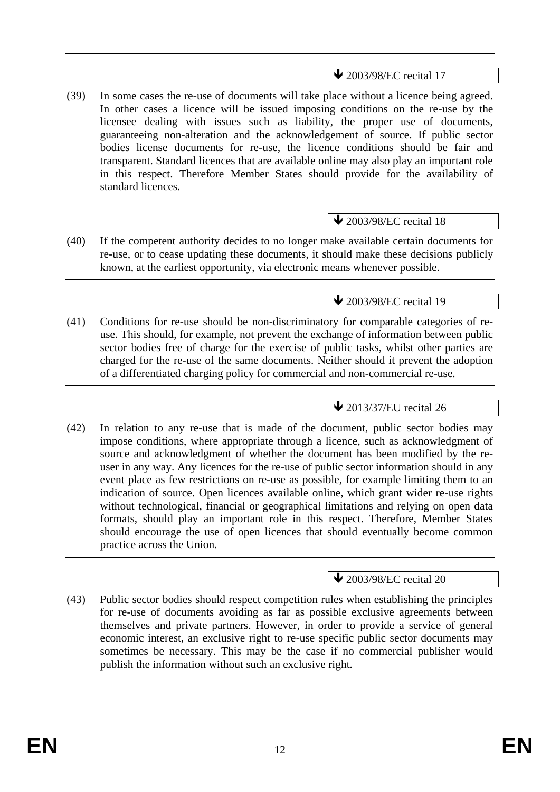$\triangle$  2003/98/EC recital 17

(39) In some cases the re-use of documents will take place without a licence being agreed. In other cases a licence will be issued imposing conditions on the re-use by the licensee dealing with issues such as liability, the proper use of documents, guaranteeing non-alteration and the acknowledgement of source. If public sector bodies license documents for re-use, the licence conditions should be fair and transparent. Standard licences that are available online may also play an important role in this respect. Therefore Member States should provide for the availability of standard licences.

# $\triangle$  2003/98/EC recital 18

(40) If the competent authority decides to no longer make available certain documents for re-use, or to cease updating these documents, it should make these decisions publicly known, at the earliest opportunity, via electronic means whenever possible.

# $\triangle$  2003/98/EC recital 19

(41) Conditions for re-use should be non-discriminatory for comparable categories of reuse. This should, for example, not prevent the exchange of information between public sector bodies free of charge for the exercise of public tasks, whilst other parties are charged for the re-use of the same documents. Neither should it prevent the adoption of a differentiated charging policy for commercial and non-commercial re-use.

# $\triangle$  2013/37/EU recital 26

(42) In relation to any re-use that is made of the document, public sector bodies may impose conditions, where appropriate through a licence, such as acknowledgment of source and acknowledgment of whether the document has been modified by the reuser in any way. Any licences for the re-use of public sector information should in any event place as few restrictions on re-use as possible, for example limiting them to an indication of source. Open licences available online, which grant wider re-use rights without technological, financial or geographical limitations and relying on open data formats, should play an important role in this respect. Therefore, Member States should encourage the use of open licences that should eventually become common practice across the Union.

# $\bigvee$  2003/98/EC recital 20

(43) Public sector bodies should respect competition rules when establishing the principles for re-use of documents avoiding as far as possible exclusive agreements between themselves and private partners. However, in order to provide a service of general economic interest, an exclusive right to re-use specific public sector documents may sometimes be necessary. This may be the case if no commercial publisher would publish the information without such an exclusive right.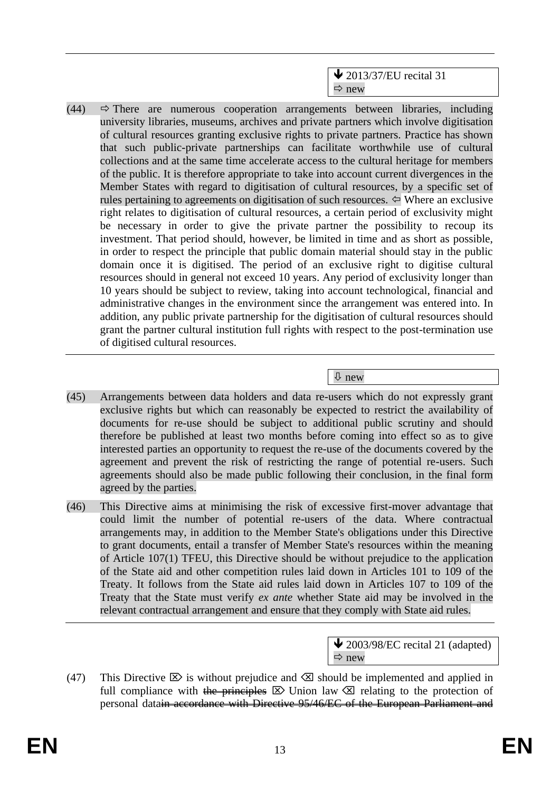$\bigvee$  2013/37/EU recital 31  $\Rightarrow$  new

- $(44)$   $\Rightarrow$  There are numerous cooperation arrangements between libraries, including university libraries, museums, archives and private partners which involve digitisation of cultural resources granting exclusive rights to private partners. Practice has shown that such public-private partnerships can facilitate worthwhile use of cultural collections and at the same time accelerate access to the cultural heritage for members of the public. It is therefore appropriate to take into account current divergences in the Member States with regard to digitisation of cultural resources, by a specific set of rules pertaining to agreements on digitisation of such resources.  $\Leftrightarrow$  Where an exclusive right relates to digitisation of cultural resources, a certain period of exclusivity might be necessary in order to give the private partner the possibility to recoup its investment. That period should, however, be limited in time and as short as possible, in order to respect the principle that public domain material should stay in the public domain once it is digitised. The period of an exclusive right to digitise cultural resources should in general not exceed 10 years. Any period of exclusivity longer than 10 years should be subject to review, taking into account technological, financial and administrative changes in the environment since the arrangement was entered into. In addition, any public private partnership for the digitisation of cultural resources should grant the partner cultural institution full rights with respect to the post-termination use of digitised cultural resources.
	- new
- (45) Arrangements between data holders and data re-users which do not expressly grant exclusive rights but which can reasonably be expected to restrict the availability of documents for re-use should be subject to additional public scrutiny and should therefore be published at least two months before coming into effect so as to give interested parties an opportunity to request the re-use of the documents covered by the agreement and prevent the risk of restricting the range of potential re-users. Such agreements should also be made public following their conclusion, in the final form agreed by the parties.
- (46) This Directive aims at minimising the risk of excessive first-mover advantage that could limit the number of potential re-users of the data. Where contractual arrangements may, in addition to the Member State's obligations under this Directive to grant documents, entail a transfer of Member State's resources within the meaning of Article 107(1) TFEU, this Directive should be without prejudice to the application of the State aid and other competition rules laid down in Articles 101 to 109 of the Treaty. It follows from the State aid rules laid down in Articles 107 to 109 of the Treaty that the State must verify *ex ante* whether State aid may be involved in the relevant contractual arrangement and ensure that they comply with State aid rules.

 $\triangle$  2003/98/EC recital 21 (adapted)  $\Rightarrow$  new

(47) This Directive  $\boxtimes$  is without prejudice and  $\boxtimes$  should be implemented and applied in full compliance with the principles  $\boxtimes$  Union law  $\boxtimes$  relating to the protection of personal datain accordance with Directive 95/46/EC of the European Parliament and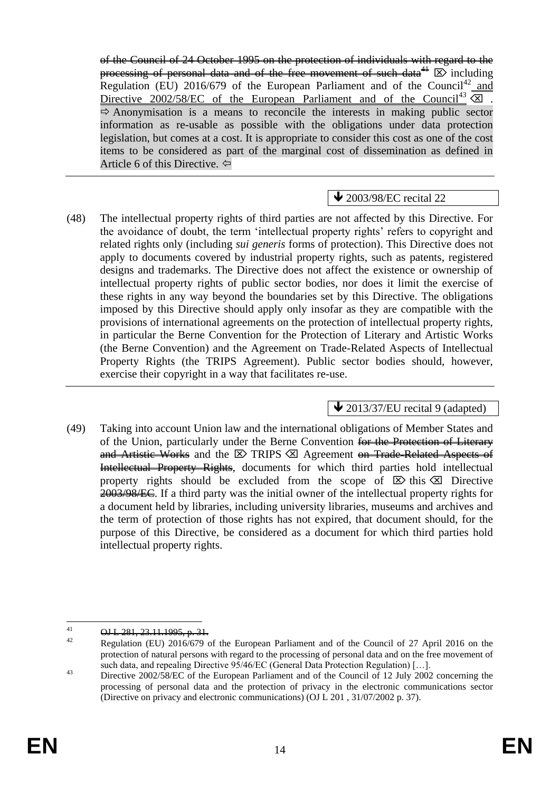of the Council of 24 October 1995 on the protection of individuals with regard to the processing of personal data and of the free movement of such data<sup>41</sup>  $\boxtimes$  including Regulation (EU) 2016/679 of the European Parliament and of the Council<sup>42</sup> and Directive 2002/58/EC of the European Parliament and of the Council<sup>43</sup>  $\otimes$ .  $\Rightarrow$  Anonymisation is a means to reconcile the interests in making public sector information as re-usable as possible with the obligations under data protection legislation, but comes at a cost. It is appropriate to consider this cost as one of the cost items to be considered as part of the marginal cost of dissemination as defined in Article 6 of this Directive.  $\Leftrightarrow$ 

**↓** 2003/98/EC recital 22

(48) The intellectual property rights of third parties are not affected by this Directive. For the avoidance of doubt, the term 'intellectual property rights' refers to copyright and related rights only (including *sui generis* forms of protection). This Directive does not apply to documents covered by industrial property rights, such as patents, registered designs and trademarks. The Directive does not affect the existence or ownership of intellectual property rights of public sector bodies, nor does it limit the exercise of these rights in any way beyond the boundaries set by this Directive. The obligations imposed by this Directive should apply only insofar as they are compatible with the provisions of international agreements on the protection of intellectual property rights, in particular the Berne Convention for the Protection of Literary and Artistic Works (the Berne Convention) and the Agreement on Trade-Related Aspects of Intellectual Property Rights (the TRIPS Agreement). Public sector bodies should, however, exercise their copyright in a way that facilitates re-use.

 $\bigvee$  2013/37/EU recital 9 (adapted)

(49) Taking into account Union law and the international obligations of Member States and of the Union, particularly under the Berne Convention for the Protection of Literary and Artistic Works and the  $\boxtimes$  TRIPS  $\boxtimes$  Agreement on Trade-Related Aspects of Intellectual Property Rights, documents for which third parties hold intellectual property rights should be excluded from the scope of  $\boxtimes$  this  $\boxtimes$  Directive 2003/98/EC. If a third party was the initial owner of the intellectual property rights for a document held by libraries, including university libraries, museums and archives and the term of protection of those rights has not expired, that document should, for the purpose of this Directive, be considered as a document for which third parties hold intellectual property rights.

 $\overline{A1}$ <sup>41</sup> **OJ L 281, 23.11.1995, p. 31.** 

<sup>42</sup> Regulation (EU) 2016/679 of the European Parliament and of the Council of 27 April 2016 on the protection of natural persons with regard to the processing of personal data and on the free movement of such data, and repealing Directive 95/46/EC (General Data Protection Regulation) […].

<sup>43</sup> Directive 2002/58/EC of the European Parliament and of the Council of 12 July 2002 concerning the processing of personal data and the protection of privacy in the electronic communications sector (Directive on privacy and electronic communications) (OJ L 201 , 31/07/2002 p. 37).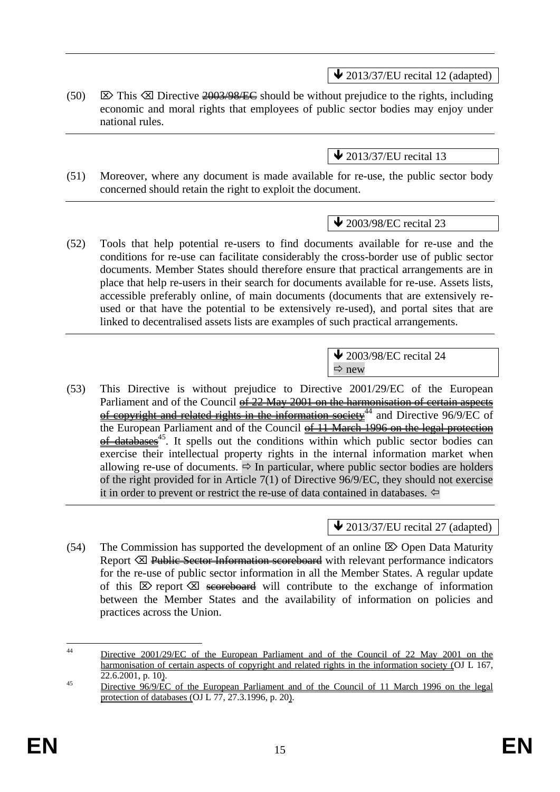2013/37/EU recital 12 (adapted)

(50)  $\boxtimes$  This  $\boxtimes$  Directive 2003/98/EC should be without prejudice to the rights, including economic and moral rights that employees of public sector bodies may enjoy under national rules.

# $\bigvee$  2013/37/EU recital 13

(51) Moreover, where any document is made available for re-use, the public sector body concerned should retain the right to exploit the document.

# $\bigvee$  2003/98/EC recital 23

(52) Tools that help potential re-users to find documents available for re-use and the conditions for re-use can facilitate considerably the cross-border use of public sector documents. Member States should therefore ensure that practical arrangements are in place that help re-users in their search for documents available for re-use. Assets lists, accessible preferably online, of main documents (documents that are extensively reused or that have the potential to be extensively re-used), and portal sites that are linked to decentralised assets lists are examples of such practical arrangements.

> $\triangle$  2003/98/EC recital 24  $\Rightarrow$  new

(53) This Directive is without prejudice to Directive 2001/29/EC of the European Parliament and of the Council  $\frac{f(22 \text{ May } 2001 \text{ on the harmonisation of certain aspects})}{22 \text{ May } 2001 \text{ on the harmonisation of certain aspects}}$ of copyright and related rights in the information society<sup>44</sup> and Directive 96/9/EC of the European Parliament and of the Council of 11 March 1996 on the legal protection  $\theta$  databases<sup>45</sup>. It spells out the conditions within which public sector bodies can exercise their intellectual property rights in the internal information market when allowing re-use of documents.  $\Rightarrow$  In particular, where public sector bodies are holders of the right provided for in Article 7(1) of Directive 96/9/EC, they should not exercise it in order to prevent or restrict the re-use of data contained in databases.  $\Leftrightarrow$ 

 $\triangle$  2013/37/EU recital 27 (adapted)

(54) The Commission has supported the development of an online  $\boxtimes$  Open Data Maturity Report  $\otimes$  Public Sector Information scoreboard with relevant performance indicators for the re-use of public sector information in all the Member States. A regular update of this  $\boxtimes$  report  $\boxtimes$  secreboard will contribute to the exchange of information between the Member States and the availability of information on policies and practices across the Union.

 $44$ Directive 2001/29/EC of the European Parliament and of the Council of 22 May 2001 harmonisation of certain aspects of copyright and related rights in the information society (OJ L 167, 22.6.2001, p. 10).

<sup>&</sup>lt;sup>45</sup> Directive 96/9/EC of the European Parliament and of the Council of 11 March 1996 on the legal protection of databases (OJ L 77, 27.3.1996, p. 20).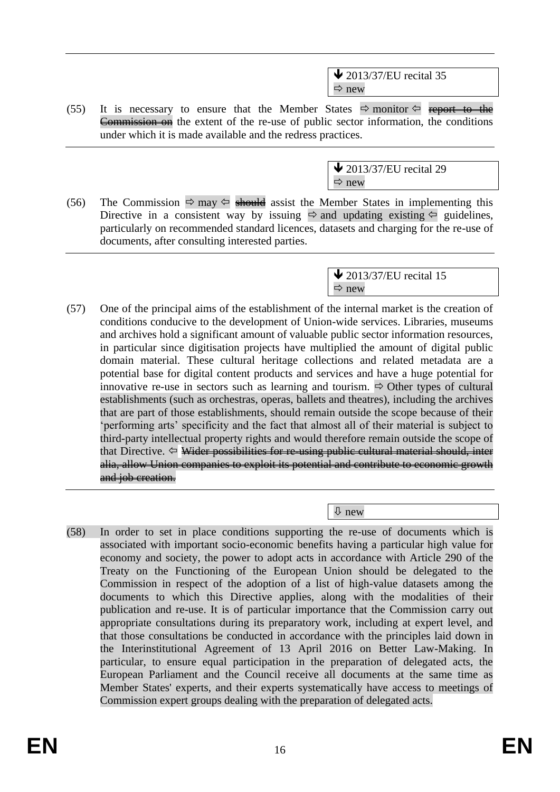$\bigvee$  2013/37/EU recital 35  $\Rightarrow$  new

- (55) It is necessary to ensure that the Member States  $\Rightarrow$  monitor  $\Leftarrow$  report to the Commission on the extent of the re-use of public sector information, the conditions under which it is made available and the redress practices.
	- $\blacktriangleright$  2013/37/EU recital 29  $\Rightarrow$  new
- (56) The Commission  $\Rightarrow$  may  $\Leftarrow$  should assist the Member States in implementing this Directive in a consistent way by issuing  $\Rightarrow$  and updating existing  $\Leftrightarrow$  guidelines, particularly on recommended standard licences, datasets and charging for the re-use of documents, after consulting interested parties.

 $\triangle$  2013/37/EU recital 15  $\Rightarrow$  new

new

- (57) One of the principal aims of the establishment of the internal market is the creation of conditions conducive to the development of Union-wide services. Libraries, museums and archives hold a significant amount of valuable public sector information resources, in particular since digitisation projects have multiplied the amount of digital public domain material. These cultural heritage collections and related metadata are a potential base for digital content products and services and have a huge potential for innovative re-use in sectors such as learning and tourism.  $\Rightarrow$  Other types of cultural establishments (such as orchestras, operas, ballets and theatres), including the archives that are part of those establishments, should remain outside the scope because of their 'performing arts' specificity and the fact that almost all of their material is subject to third-party intellectual property rights and would therefore remain outside the scope of that Directive.  $\Leftrightarrow$  Wider possibilities for re-using public cultural material should, inter alia, allow Union companies to exploit its potential and contribute to economic growth and job creation.
- (58) In order to set in place conditions supporting the re-use of documents which is associated with important socio-economic benefits having a particular high value for economy and society, the power to adopt acts in accordance with Article 290 of the Treaty on the Functioning of the European Union should be delegated to the Commission in respect of the adoption of a list of high-value datasets among the documents to which this Directive applies, along with the modalities of their publication and re-use. It is of particular importance that the Commission carry out appropriate consultations during its preparatory work, including at expert level, and that those consultations be conducted in accordance with the principles laid down in the Interinstitutional Agreement of 13 April 2016 on Better Law-Making. In particular, to ensure equal participation in the preparation of delegated acts, the European Parliament and the Council receive all documents at the same time as Member States' experts, and their experts systematically have access to meetings of Commission expert groups dealing with the preparation of delegated acts.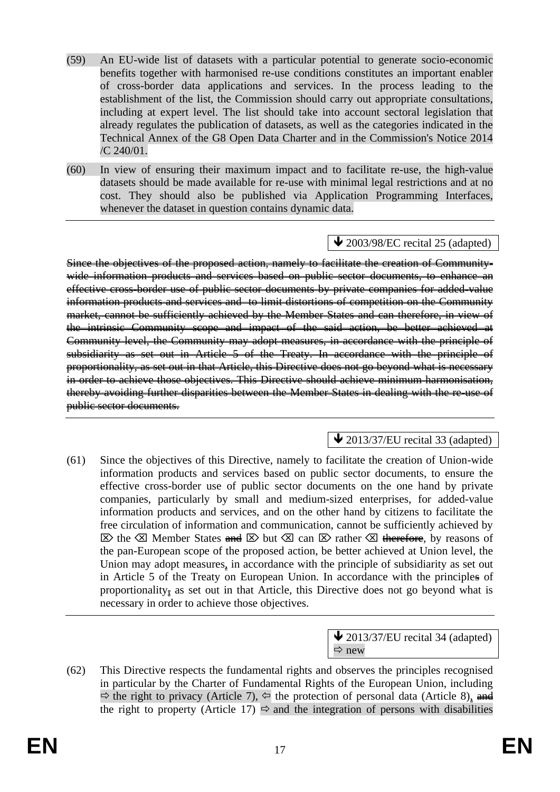- (59) An EU-wide list of datasets with a particular potential to generate socio-economic benefits together with harmonised re-use conditions constitutes an important enabler of cross-border data applications and services. In the process leading to the establishment of the list, the Commission should carry out appropriate consultations, including at expert level. The list should take into account sectoral legislation that already regulates the publication of datasets, as well as the categories indicated in the Technical Annex of the G8 Open Data Charter and in the Commission's Notice 2014 /C 240/01.
- (60) In view of ensuring their maximum impact and to facilitate re-use, the high-value datasets should be made available for re-use with minimal legal restrictions and at no cost. They should also be published via Application Programming Interfaces, whenever the dataset in question contains dynamic data.

## $\triangle$  2003/98/EC recital 25 (adapted)

Since the objectives of the proposed action, namely to facilitate the creation of Communitywide information products and services based on public sector documents, to enhance an effective cross-border use of public sector documents by private companies for added-value information products and services and to limit distortions of competition on the Community market, cannot be sufficiently achieved by the Member States and can therefore, in view of the intrinsic Community scope and impact of the said action, be better achieved at Community level, the Community may adopt measures, in accordance with the principle of subsidiarity as set out in Article 5 of the Treaty. In accordance with the principle of proportionality, as set out in that Article, this Directive does not go beyond what is necessary in order to achieve those objectives. This Directive should achieve minimum harmonisation, thereby avoiding further disparities between the Member States in dealing with the re-use of public sector documents.

#### $\triangle$  2013/37/EU recital 33 (adapted)

(61) Since the objectives of this Directive, namely to facilitate the creation of Union-wide information products and services based on public sector documents, to ensure the effective cross-border use of public sector documents on the one hand by private companies, particularly by small and medium-sized enterprises, for added-value information products and services, and on the other hand by citizens to facilitate the free circulation of information and communication, cannot be sufficiently achieved by  $\boxtimes$  the  $\boxtimes$  Member States and  $\boxtimes$  but  $\boxtimes$  can  $\boxtimes$  rather  $\boxtimes$  therefore, by reasons of the pan-European scope of the proposed action, be better achieved at Union level, the Union may adopt measures, in accordance with the principle of subsidiarity as set out in Article 5 of the Treaty on European Union. In accordance with the principles of proportionality<sub> $\overline{x}$ </sub> as set out in that Article, this Directive does not go beyond what is necessary in order to achieve those objectives.

> ↓ 2013/37/EU recital 34 (adapted)  $\Rightarrow$  new

(62) This Directive respects the fundamental rights and observes the principles recognised in particular by the Charter of Fundamental Rights of the European Union, including  $\Rightarrow$  the right to privacy (Article 7),  $\Leftarrow$  the protection of personal data (Article 8), and the right to property (Article 17)  $\Rightarrow$  and the integration of persons with disabilities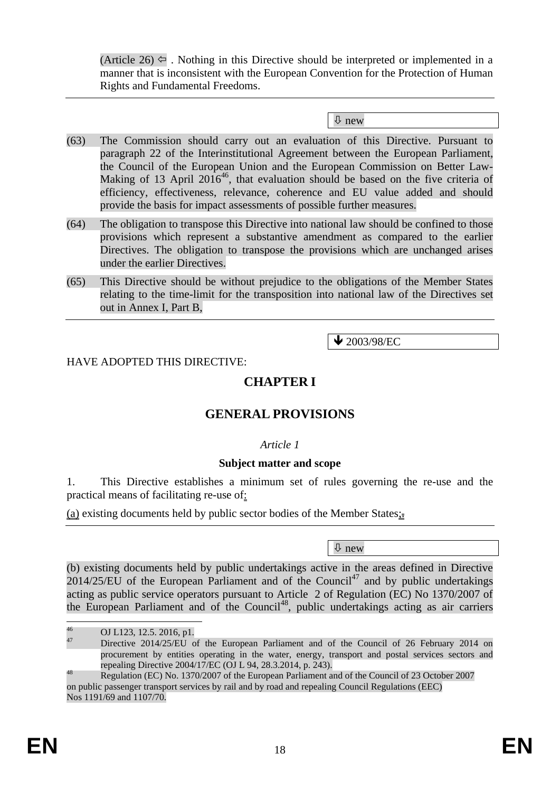(Article 26)  $\Leftrightarrow$  . Nothing in this Directive should be interpreted or implemented in a manner that is inconsistent with the European Convention for the Protection of Human Rights and Fundamental Freedoms.

new

- (63) The Commission should carry out an evaluation of this Directive. Pursuant to paragraph 22 of the Interinstitutional Agreement between the European Parliament, the Council of the European Union and the European Commission on Better Law-Making of 13 April  $2016^{46}$ , that evaluation should be based on the five criteria of efficiency, effectiveness, relevance, coherence and EU value added and should provide the basis for impact assessments of possible further measures.
- (64) The obligation to transpose this Directive into national law should be confined to those provisions which represent a substantive amendment as compared to the earlier Directives. The obligation to transpose the provisions which are unchanged arises under the earlier Directives.
- (65) This Directive should be without prejudice to the obligations of the Member States relating to the time-limit for the transposition into national law of the Directives set out in Annex I, Part B,

 $\blacktriangleright$  2003/98/EC

HAVE ADOPTED THIS DIRECTIVE:

# **CHAPTER I**

# **GENERAL PROVISIONS**

#### *Article 1*

#### **Subject matter and scope**

1. This Directive establishes a minimum set of rules governing the re-use and the practical means of facilitating re-use of:

(a) existing documents held by public sector bodies of the Member States;

new

(b) existing documents held by public undertakings active in the areas defined in Directive  $2014/25/EU$  of the European Parliament and of the Council<sup>47</sup> and by public undertakings acting as public service operators pursuant to Article 2 of Regulation (EC) No 1370/2007 of the European Parliament and of the Council<sup>48</sup>, public undertakings acting as air carriers

<u>.</u>

 $^{46}$  OJ L123, 12.5. 2016, p1.

Directive 2014/25/EU of the European Parliament and of the Council of 26 February 2014 on procurement by entities operating in the water, energy, transport and postal services sectors and repealing Directive 2004/17/EC (OJ L 94, 28.3.2014, p. 243).

<sup>48</sup> Regulation (EC) No. 1370/2007 of the European Parliament and of the Council of 23 October 2007 on public passenger transport services by rail and by road and repealing Council Regulations (EEC) Nos 1191/69 and 1107/70.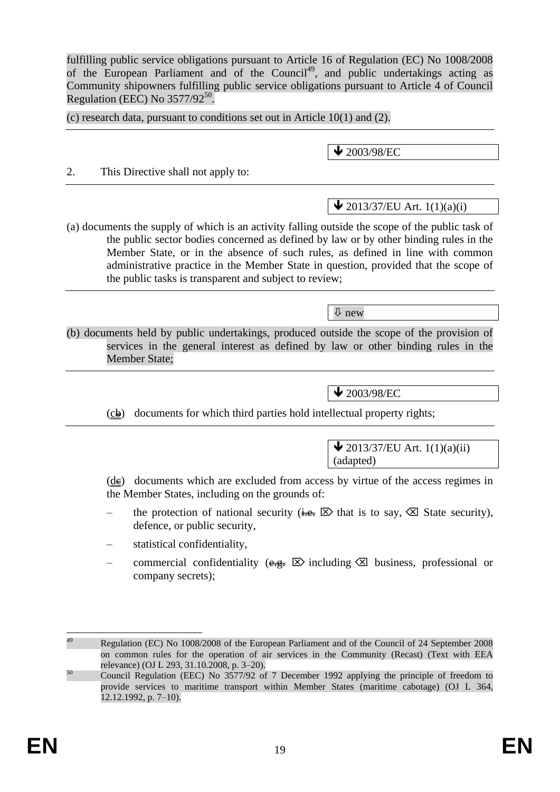1

fulfilling public service obligations pursuant to Article 16 of Regulation (EC) No 1008/2008 of the European Parliament and of the Council<sup>49</sup>, and public undertakings acting as Community shipowners fulfilling public service obligations pursuant to Article 4 of Council Regulation (EEC) No  $3577/92^{50}$ .

(c) research data, pursuant to conditions set out in Article 10(1) and (2).

2. This Directive shall not apply to:

#### (a) documents the supply of which is an activity falling outside the scope of the public task of the public sector bodies concerned as defined by law or by other binding rules in the Member State, or in the absence of such rules, as defined in line with common administrative practice in the Member State in question, provided that the scope of

# the public tasks is transparent and subject to review;

(b) documents held by public undertakings, produced outside the scope of the provision of services in the general interest as defined by law or other binding rules in the Member State;

 $\bigvee$  2003/98/EC

 $\triangle$  2013/37/EU Art. 1(1)(a)(ii)

 $(c<sub>b</sub>)$  documents for which third parties hold intellectual property rights;

(adapted)  $(d\acute{e})$  documents which are excluded from access by virtue of the access regimes in the Member States, including on the grounds of:

- the protection of national security ( $\overline{t}$ .  $\overline{\infty}$  that is to say,  $\overline{\infty}$  State security), defence, or public security,
- statistical confidentiality,
- commercial confidentiality ( $\overline{e}$ ,  $\overline{\mathbb{E}}$ ) including  $\overline{\mathbb{E}}$  business, professional or company secrets);

 $\bigvee$  2003/98/EC

 $\blacktriangleright$  2013/37/EU Art. 1(1)(a)(i)

new

<sup>&</sup>lt;sup>49</sup> Regulation (EC) No 1008/2008 of the European Parliament and of the Council of 24 September 2008 on common rules for the operation of air services in the Community (Recast) (Text with EEA relevance) (OJ L 293, 31.10.2008, p. 3–20).

<sup>&</sup>lt;sup>50</sup> Council Regulation (EEC) No 3577/92 of 7 December 1992 applying the principle of freedom to provide services to maritime transport within Member States (maritime cabotage) (OJ L 364, 12.12.1992, p. 7–10).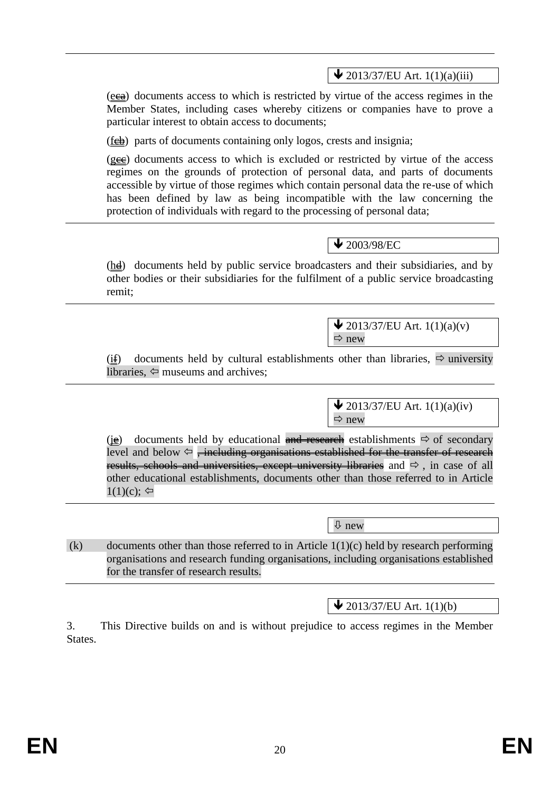$\bigvee$  2013/37/EU Art. 1(1)(a)(iii)

 $(ee<sub>et</sub>)$  documents access to which is restricted by virtue of the access regimes in the Member States, including cases whereby citizens or companies have to prove a particular interest to obtain access to documents;

 $(f<sub>eth</sub>)$  parts of documents containing only logos, crests and insignia;

 $(g_{\epsilon})$  documents access to which is excluded or restricted by virtue of the access regimes on the grounds of protection of personal data, and parts of documents accessible by virtue of those regimes which contain personal data the re-use of which has been defined by law as being incompatible with the law concerning the protection of individuals with regard to the processing of personal data;

## $\bigvee$  2003/98/EC

(hd) documents held by public service broadcasters and their subsidiaries, and by other bodies or their subsidiaries for the fulfilment of a public service broadcasting remit;

> $\bigvee$  2013/37/EU Art. 1(1)(a)(y)  $\Rightarrow$  new

(if) documents held by cultural establishments other than libraries,  $\Rightarrow$  university libraries,  $\Leftrightarrow$  museums and archives;

> $\bigvee$  2013/37/EU Art. 1(1)(a)(iv)  $\Rightarrow$  new

(ie) documents held by educational and research establishments  $\Rightarrow$  of secondary level and below  $\Leftrightarrow$  , including organisations established for the transfer of research results, schools and universities, except university libraries and  $\Rightarrow$ , in case of all other educational establishments, documents other than those referred to in Article  $1(1)(c)$ ;  $\Leftrightarrow$ 

 $\sqrt{\frac{1}{2}}$  new

 $(k)$  documents other than those referred to in Article 1(1)(c) held by research performing organisations and research funding organisations, including organisations established for the transfer of research results.

# $\blacktriangleright$  2013/37/EU Art. 1(1)(b)

3. This Directive builds on and is without prejudice to access regimes in the Member States.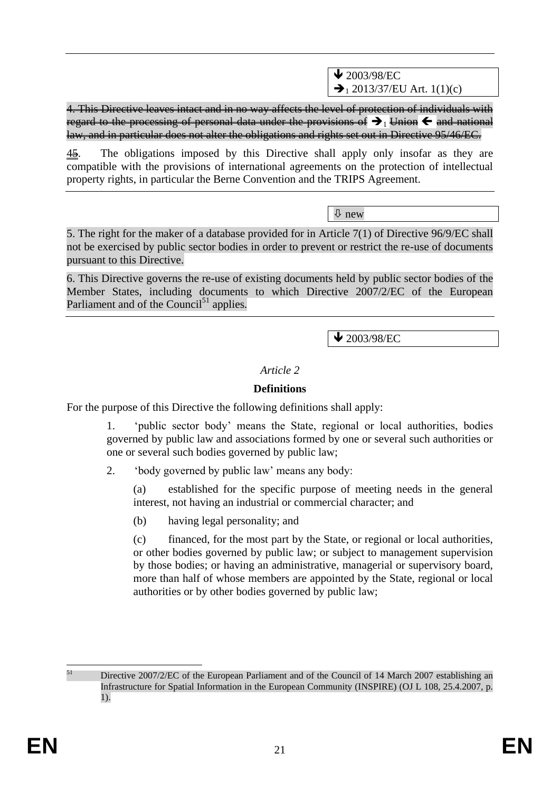4. This Directive leaves intact and in no way affects the level of protection of individuals with regard to the processing of personal data under the provisions of  $\rightarrow$  Union  $\leftarrow$  and national law, and in particular does not alter the obligations and rights set out in Directive 95/46/EC.

45. The obligations imposed by this Directive shall apply only insofar as they are compatible with the provisions of international agreements on the protection of intellectual property rights, in particular the Berne Convention and the TRIPS Agreement.

new

5. The right for the maker of a database provided for in Article 7(1) of Directive 96/9/EC shall not be exercised by public sector bodies in order to prevent or restrict the re-use of documents pursuant to this Directive.

6. This Directive governs the re-use of existing documents held by public sector bodies of the Member States, including documents to which Directive 2007/2/EC of the European Parliament and of the Council<sup>51</sup> applies.

2003/98/EC

## *Article 2*

# **Definitions**

For the purpose of this Directive the following definitions shall apply:

1. 'public sector body' means the State, regional or local authorities, bodies governed by public law and associations formed by one or several such authorities or one or several such bodies governed by public law;

2. 'body governed by public law' means any body:

(a) established for the specific purpose of meeting needs in the general interest, not having an industrial or commercial character; and

(b) having legal personality; and

(c) financed, for the most part by the State, or regional or local authorities, or other bodies governed by public law; or subject to management supervision by those bodies; or having an administrative, managerial or supervisory board, more than half of whose members are appointed by the State, regional or local authorities or by other bodies governed by public law;

51 Directive 2007/2/EC of the European Parliament and of the Council of 14 March 2007 establishing an Infrastructure for Spatial Information in the European Community (INSPIRE) (OJ L 108, 25.4.2007, p. 1).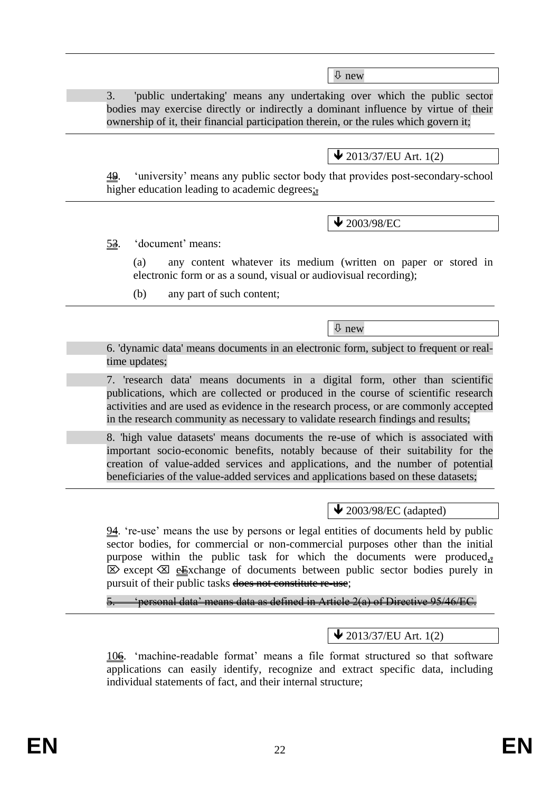$\overline{\Psi}$  new

3. 'public undertaking' means any undertaking over which the public sector bodies may exercise directly or indirectly a dominant influence by virtue of their ownership of it, their financial participation therein, or the rules which govern it;

## $\bigvee$  2013/37/EU Art. 1(2)

49. 'university' means any public sector body that provides post-secondary-school higher education leading to academic degrees;

 $\bigvee$  2003/98/EC

53. 'document' means:

(a) any content whatever its medium (written on paper or stored in electronic form or as a sound, visual or audiovisual recording);

(b) any part of such content;

 $\sqrt{2}$  new

6. 'dynamic data' means documents in an electronic form, subject to frequent or realtime updates;

7. 'research data' means documents in a digital form, other than scientific publications, which are collected or produced in the course of scientific research activities and are used as evidence in the research process, or are commonly accepted in the research community as necessary to validate research findings and results;

8. 'high value datasets' means documents the re-use of which is associated with important socio-economic benefits, notably because of their suitability for the creation of value-added services and applications, and the number of potential beneficiaries of the value-added services and applications based on these datasets;

 $\bigvee$  2003/98/EC (adapted)

24. 're-use' means the use by persons or legal entities of documents held by public sector bodies, for commercial or non-commercial purposes other than the initial purpose within the public task for which the documents were produced, $\overline{z}$  $\boxtimes$  except  $\boxtimes$  exchange of documents between public sector bodies purely in pursuit of their public tasks does not constitute re-use;

5. 'personal data' means data as defined in Article 2(a) of Directive 95/46/EC.

# $\blacktriangleright$  2013/37/EU Art. 1(2)

106. 'machine-readable format' means a file format structured so that software applications can easily identify, recognize and extract specific data, including individual statements of fact, and their internal structure;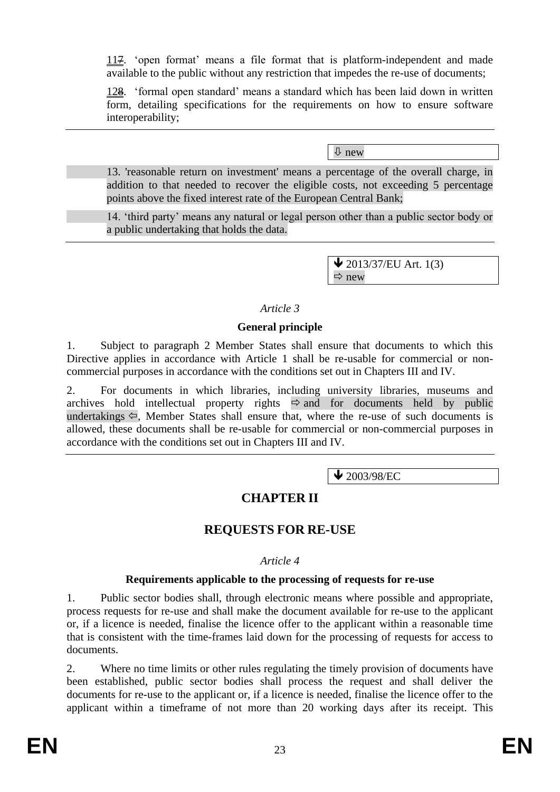117. 'open format' means a file format that is platform-independent and made available to the public without any restriction that impedes the re-use of documents;

128. 'formal open standard' means a standard which has been laid down in written form, detailing specifications for the requirements on how to ensure software interoperability;

new

13. 'reasonable return on investment' means a percentage of the overall charge, in addition to that needed to recover the eligible costs, not exceeding 5 percentage points above the fixed interest rate of the European Central Bank;

14. 'third party' means any natural or legal person other than a public sector body or a public undertaking that holds the data.

> $\blacktriangleright$  2013/37/EU Art. 1(3)  $\Rightarrow$  new

#### *Article 3*

#### **General principle**

1. Subject to paragraph 2 Member States shall ensure that documents to which this Directive applies in accordance with Article 1 shall be re-usable for commercial or noncommercial purposes in accordance with the conditions set out in Chapters III and IV.

2. For documents in which libraries, including university libraries, museums and archives hold intellectual property rights  $\Rightarrow$  and for documents held by public undertakings  $\Leftrightarrow$ , Member States shall ensure that, where the re-use of such documents is allowed, these documents shall be re-usable for commercial or non-commercial purposes in accordance with the conditions set out in Chapters III and IV.

 $\overline{\text{4}}$  2003/98/EC

# **CHAPTER II**

# **REQUESTS FOR RE-USE**

#### *Article 4*

#### **Requirements applicable to the processing of requests for re-use**

1. Public sector bodies shall, through electronic means where possible and appropriate, process requests for re-use and shall make the document available for re-use to the applicant or, if a licence is needed, finalise the licence offer to the applicant within a reasonable time that is consistent with the time-frames laid down for the processing of requests for access to documents.

2. Where no time limits or other rules regulating the timely provision of documents have been established, public sector bodies shall process the request and shall deliver the documents for re-use to the applicant or, if a licence is needed, finalise the licence offer to the applicant within a timeframe of not more than 20 working days after its receipt. This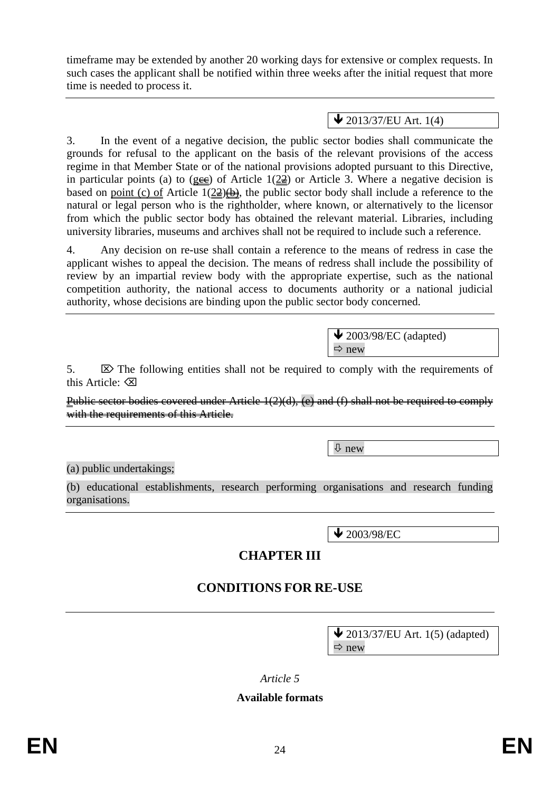timeframe may be extended by another 20 working days for extensive or complex requests. In such cases the applicant shall be notified within three weeks after the initial request that more time is needed to process it.

## $\bigvee$  2013/37/EU Art. 1(4)

3. In the event of a negative decision, the public sector bodies shall communicate the grounds for refusal to the applicant on the basis of the relevant provisions of the access regime in that Member State or of the national provisions adopted pursuant to this Directive, in particular points (a) to (gee) of Article 1( $2\overline{2}$ ) or Article 3. Where a negative decision is based on point (c) of Article  $1(2\frac{2}{\theta})$ , the public sector body shall include a reference to the natural or legal person who is the rightholder, where known, or alternatively to the licensor from which the public sector body has obtained the relevant material. Libraries, including university libraries, museums and archives shall not be required to include such a reference.

4. Any decision on re-use shall contain a reference to the means of redress in case the applicant wishes to appeal the decision. The means of redress shall include the possibility of review by an impartial review body with the appropriate expertise, such as the national competition authority, the national access to documents authority or a national judicial authority, whose decisions are binding upon the public sector body concerned.

> $\bigvee$  2003/98/EC (adapted)  $\Rightarrow$  new

5.  $\boxtimes$  The following entities shall not be required to comply with the requirements of this Article:

Public sector bodies covered under Article 1(2)(d), (e) and (f) shall not be required to comply with the requirements of this Article.

new

(a) public undertakings;

(b) educational establishments, research performing organisations and research funding organisations.

2003/98/EC

# **CHAPTER III**

# **CONDITIONS FOR RE-USE**

 $\bigvee$  2013/37/EU Art. 1(5) (adapted)  $\Rightarrow$  new

*Article 5*

#### **Available formats**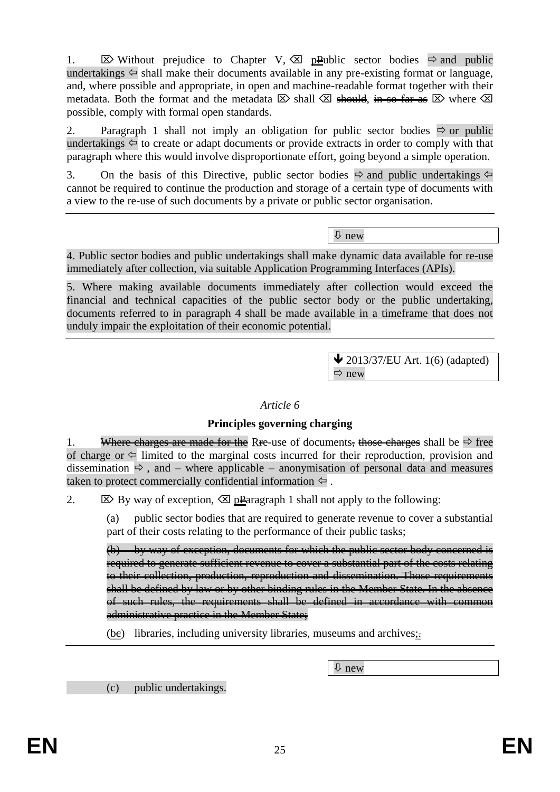1.  $\boxtimes$  Without prejudice to Chapter V,  $\boxtimes$  pPublic sector bodies  $\Rightarrow$  and public undertakings  $\Leftrightarrow$  shall make their documents available in any pre-existing format or language, and, where possible and appropriate, in open and machine-readable format together with their metadata. Both the format and the metadata  $\boxtimes$  shall  $\boxtimes$  should, in so far as  $\boxtimes$  where  $\boxtimes$ possible, comply with formal open standards.

2. Paragraph 1 shall not imply an obligation for public sector bodies  $\Rightarrow$  or public undertakings  $\Leftarrow$  to create or adapt documents or provide extracts in order to comply with that paragraph where this would involve disproportionate effort, going beyond a simple operation.

3. On the basis of this Directive, public sector bodies  $\Rightarrow$  and public undertakings  $\Leftarrow$ cannot be required to continue the production and storage of a certain type of documents with a view to the re-use of such documents by a private or public sector organisation.

 $Q$  new

4. Public sector bodies and public undertakings shall make dynamic data available for re-use immediately after collection, via suitable Application Programming Interfaces (APIs).

5. Where making available documents immediately after collection would exceed the financial and technical capacities of the public sector body or the public undertaking, documents referred to in paragraph 4 shall be made available in a timeframe that does not unduly impair the exploitation of their economic potential.

> $\blacktriangleright$  2013/37/EU Art. 1(6) (adapted)  $Arr$  new

#### *Article 6*

#### **Principles governing charging**

1. Where charges are made for the R<sub>i</sub> e-use of documents, those charges shall be  $\Rightarrow$  free of charge or  $\Leftarrow$  limited to the marginal costs incurred for their reproduction, provision and dissemination  $\Rightarrow$ , and – where applicable – anonymisation of personal data and measures taken to protect commercially confidential information  $\Leftrightarrow$ .

2.  $\boxtimes$  By way of exception,  $\boxtimes$  pParagraph 1 shall not apply to the following:

(a) public sector bodies that are required to generate revenue to cover a substantial part of their costs relating to the performance of their public tasks;

(b) by way of exception, documents for which the public sector body concerned is required to generate sufficient revenue to cover a substantial part of the costs relating to their collection, production, reproduction and dissemination. Those requirements shall be defined by law or by other binding rules in the Member State. In the absence of such rules, the requirements shall be defined in accordance with common administrative practice in the Member State;

 $(be)$  libraries, including university libraries, museums and archives:

 $Q$  new

(c) public undertakings.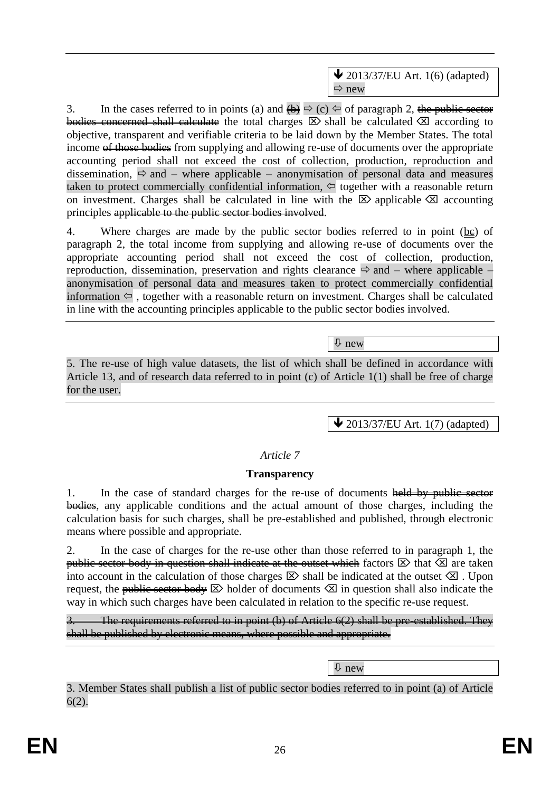3. In the cases referred to in points (a) and  $\overline{\Theta} \Rightarrow$  (c)  $\Leftrightarrow$  of paragraph 2, the public sector bodies concerned shall calculate the total charges  $\overline{\otimes}$  shall be calculated  $\overline{\otimes}$  according to objective, transparent and verifiable criteria to be laid down by the Member States. The total income of those bodies from supplying and allowing re-use of documents over the appropriate accounting period shall not exceed the cost of collection, production, reproduction and dissemination,  $\Rightarrow$  and – where applicable – anonymisation of personal data and measures taken to protect commercially confidential information,  $\Leftrightarrow$  together with a reasonable return on investment. Charges shall be calculated in line with the  $\boxtimes$  applicable  $\boxtimes$  accounting principles applicable to the public sector bodies involved.

4. Where charges are made by the public sector bodies referred to in point  $(be)$  of paragraph 2, the total income from supplying and allowing re-use of documents over the appropriate accounting period shall not exceed the cost of collection, production, reproduction, dissemination, preservation and rights clearance  $\Rightarrow$  and – where applicable – anonymisation of personal data and measures taken to protect commercially confidential information  $\Leftarrow$ , together with a reasonable return on investment. Charges shall be calculated in line with the accounting principles applicable to the public sector bodies involved.

new

5. The re-use of high value datasets, the list of which shall be defined in accordance with Article 13, and of research data referred to in point (c) of Article 1(1) shall be free of charge for the user.

 $\blacktriangleright$  2013/37/EU Art. 1(7) (adapted)

# *Article 7*

# **Transparency**

1. In the case of standard charges for the re-use of documents held by public sector bodies, any applicable conditions and the actual amount of those charges, including the calculation basis for such charges, shall be pre-established and published, through electronic means where possible and appropriate.

2. In the case of charges for the re-use other than those referred to in paragraph 1, the public sector body in question shall indicate at the outset which factors  $\boxtimes$  that  $\boxtimes$  are taken into account in the calculation of those charges  $\boxtimes$  shall be indicated at the outset  $\boxtimes$ . Upon request, the public sector body  $\boxtimes$  holder of documents  $\boxtimes$  in question shall also indicate the way in which such charges have been calculated in relation to the specific re-use request.

The requirements referred to in point (b) of Article 6(2) shall be pre-established. They shall be published by electronic means, where possible and appropriate.

new

3. Member States shall publish a list of public sector bodies referred to in point (a) of Article 6(2).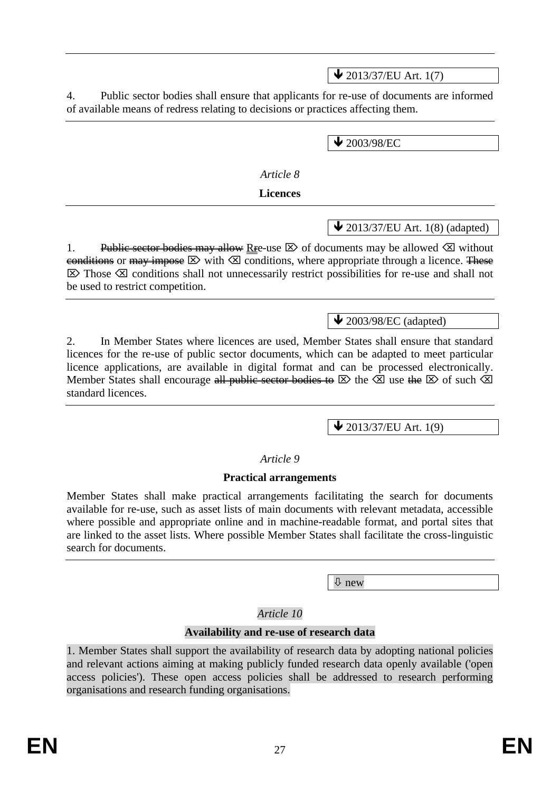$\bigvee$  2013/37/EU Art. 1(7)

4. Public sector bodies shall ensure that applicants for re-use of documents are informed of available means of redress relating to decisions or practices affecting them.

 $\bigvee$  2003/98/EC

*Article 8*

#### **Licences**

 $\bigvee$  2013/37/EU Art. 1(8) (adapted)

1. Public sector bodies may allow R i e-use  $\boxtimes$  of documents may be allowed  $\boxtimes$  without eonditions or may impose  $\boxtimes$  with  $\boxtimes$  conditions, where appropriate through a licence. These  $\boxtimes$  Those  $\boxtimes$  conditions shall not unnecessarily restrict possibilities for re-use and shall not be used to restrict competition.

 $\blacktriangleright$  2003/98/EC (adapted)

2. In Member States where licences are used, Member States shall ensure that standard licences for the re-use of public sector documents, which can be adapted to meet particular licence applications, are available in digital format and can be processed electronically. Member States shall encourage all public sector bodies to  $\boxtimes$  the  $\boxtimes$  use the  $\boxtimes$  of such  $\boxtimes$ standard licences.

 $\bigvee$  2013/37/EU Art. 1(9)

#### *Article 9*

#### **Practical arrangements**

Member States shall make practical arrangements facilitating the search for documents available for re-use, such as asset lists of main documents with relevant metadata, accessible where possible and appropriate online and in machine-readable format, and portal sites that are linked to the asset lists. Where possible Member States shall facilitate the cross-linguistic search for documents.

new

*Article 10*

#### **Availability and re-use of research data**

1. Member States shall support the availability of research data by adopting national policies and relevant actions aiming at making publicly funded research data openly available ('open access policies'). These open access policies shall be addressed to research performing organisations and research funding organisations.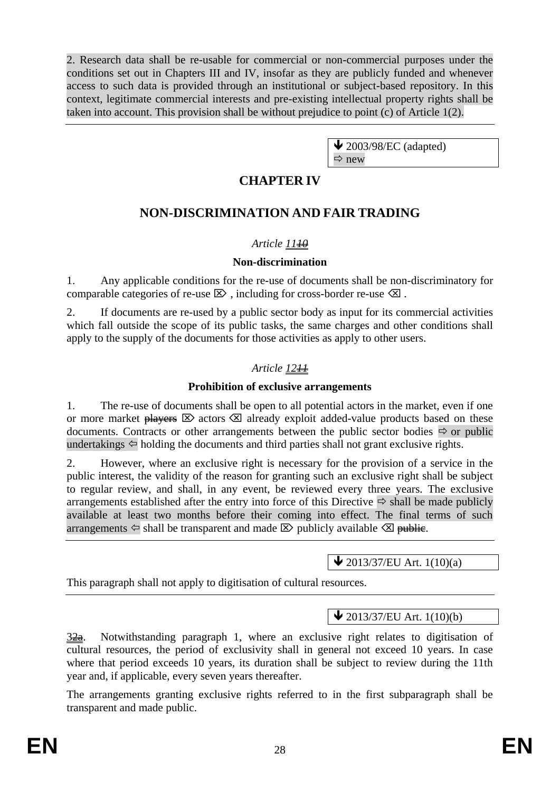2. Research data shall be re-usable for commercial or non-commercial purposes under the conditions set out in Chapters III and IV, insofar as they are publicly funded and whenever access to such data is provided through an institutional or subject-based repository. In this context, legitimate commercial interests and pre-existing intellectual property rights shall be taken into account. This provision shall be without prejudice to point (c) of Article 1(2).

> $\bigvee$  2003/98/EC (adapted)  $\Rightarrow$  new

# **CHAPTER IV**

# **NON-DISCRIMINATION AND FAIR TRADING**

# *Article 1110*

# **Non-discrimination**

1. Any applicable conditions for the re-use of documents shall be non-discriminatory for comparable categories of re-use  $\boxtimes$ , including for cross-border re-use  $\boxtimes$ .

2. If documents are re-used by a public sector body as input for its commercial activities which fall outside the scope of its public tasks, the same charges and other conditions shall apply to the supply of the documents for those activities as apply to other users.

# *Article 1211*

# **Prohibition of exclusive arrangements**

1. The re-use of documents shall be open to all potential actors in the market, even if one or more market  $\frac{\partial^2 u}{\partial x^2}$  actors  $\otimes$  already exploit added-value products based on these documents. Contracts or other arrangements between the public sector bodies  $\Rightarrow$  or public undertakings  $\Leftrightarrow$  holding the documents and third parties shall not grant exclusive rights.

2. However, where an exclusive right is necessary for the provision of a service in the public interest, the validity of the reason for granting such an exclusive right shall be subject to regular review, and shall, in any event, be reviewed every three years. The exclusive arrangements established after the entry into force of this Directive  $\Rightarrow$  shall be made publicly available at least two months before their coming into effect. The final terms of such arrangements  $\Leftarrow$  shall be transparent and made  $\triangleright$  publicly available  $\triangleleft$  public.

# $\bigvee$  2013/37/EU Art. 1(10)(a)

This paragraph shall not apply to digitisation of cultural resources.

# $\bigvee$  2013/37/EU Art. 1(10)(b)

 $3\frac{2}{2}$ . Notwithstanding paragraph 1, where an exclusive right relates to digitisation of cultural resources, the period of exclusivity shall in general not exceed 10 years. In case where that period exceeds 10 years, its duration shall be subject to review during the 11th year and, if applicable, every seven years thereafter.

The arrangements granting exclusive rights referred to in the first subparagraph shall be transparent and made public.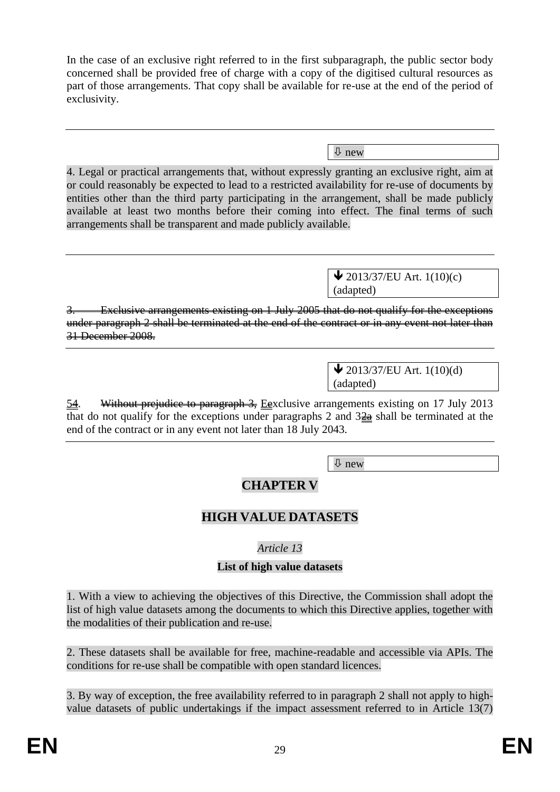In the case of an exclusive right referred to in the first subparagraph, the public sector body concerned shall be provided free of charge with a copy of the digitised cultural resources as part of those arrangements. That copy shall be available for re-use at the end of the period of exclusivity.

new

4. Legal or practical arrangements that, without expressly granting an exclusive right, aim at or could reasonably be expected to lead to a restricted availability for re-use of documents by entities other than the third party participating in the arrangement, shall be made publicly available at least two months before their coming into effect. The final terms of such arrangements shall be transparent and made publicly available.

> $\bigvee$  2013/37/EU Art. 1(10)(c) (adapted)

Exclusive arrangements existing on 1 July 2005 that do not qualify for the exceptions under paragraph 2 shall be terminated at the end of the contract or in any event not later than 31 December 2008.

> $\bigvee$  2013/37/EU Art. 1(10)(d) (adapted)

54. Without prejudice to paragraph 3, Eexclusive arrangements existing on 17 July 2013 that do not qualify for the exceptions under paragraphs 2 and  $3\frac{2}{3}$  shall be terminated at the end of the contract or in any event not later than 18 July 2043.

new

# **CHAPTER V**

# **HIGH VALUE DATASETS**

# *Article 13*

# **List of high value datasets**

1. With a view to achieving the objectives of this Directive, the Commission shall adopt the list of high value datasets among the documents to which this Directive applies, together with the modalities of their publication and re-use.

2. These datasets shall be available for free, machine-readable and accessible via APIs. The conditions for re-use shall be compatible with open standard licences.

3. By way of exception, the free availability referred to in paragraph 2 shall not apply to highvalue datasets of public undertakings if the impact assessment referred to in Article 13(7)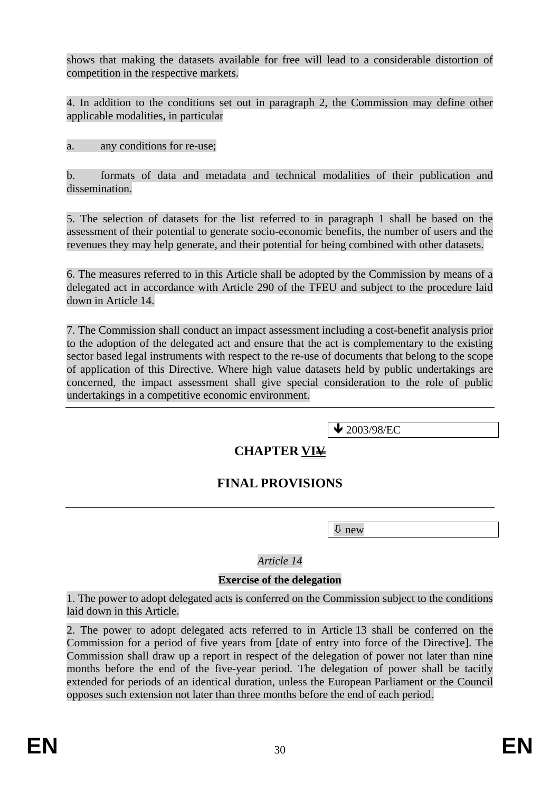shows that making the datasets available for free will lead to a considerable distortion of competition in the respective markets.

4. In addition to the conditions set out in paragraph 2, the Commission may define other applicable modalities, in particular

a. any conditions for re-use;

b. formats of data and metadata and technical modalities of their publication and dissemination.

5. The selection of datasets for the list referred to in paragraph 1 shall be based on the assessment of their potential to generate socio-economic benefits, the number of users and the revenues they may help generate, and their potential for being combined with other datasets.

6. The measures referred to in this Article shall be adopted by the Commission by means of a delegated act in accordance with Article 290 of the TFEU and subject to the procedure laid down in Article 14.

7. The Commission shall conduct an impact assessment including a cost-benefit analysis prior to the adoption of the delegated act and ensure that the act is complementary to the existing sector based legal instruments with respect to the re-use of documents that belong to the scope of application of this Directive. Where high value datasets held by public undertakings are concerned, the impact assessment shall give special consideration to the role of public undertakings in a competitive economic environment.

 $\bigvee$  2003/98/EC

# **CHAPTER VIV**

# **FINAL PROVISIONS**

new

*Article 14*

#### **Exercise of the delegation**

1. The power to adopt delegated acts is conferred on the Commission subject to the conditions laid down in this Article.

2. The power to adopt delegated acts referred to in Article 13 shall be conferred on the Commission for a period of five years from [date of entry into force of the Directive]. The Commission shall draw up a report in respect of the delegation of power not later than nine months before the end of the five-year period. The delegation of power shall be tacitly extended for periods of an identical duration, unless the European Parliament or the Council opposes such extension not later than three months before the end of each period.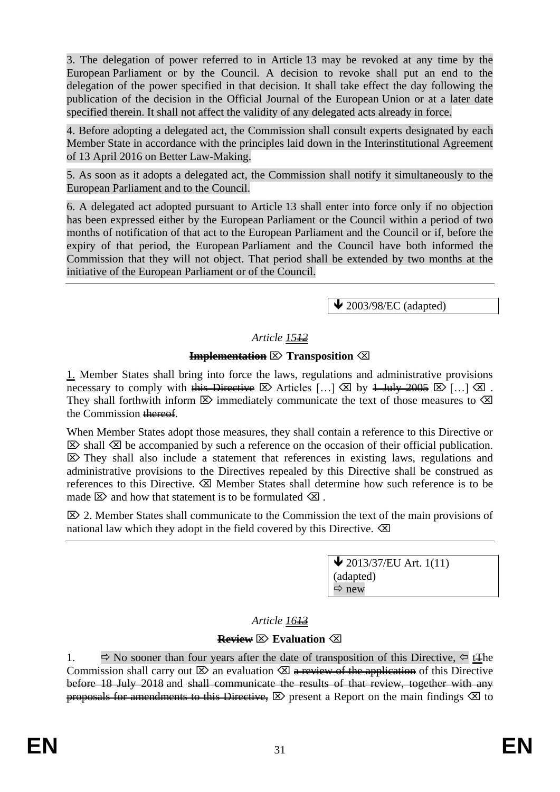3. The delegation of power referred to in Article 13 may be revoked at any time by the European Parliament or by the Council. A decision to revoke shall put an end to the delegation of the power specified in that decision. It shall take effect the day following the publication of the decision in the Official Journal of the European Union or at a later date specified therein. It shall not affect the validity of any delegated acts already in force.

4. Before adopting a delegated act, the Commission shall consult experts designated by each Member State in accordance with the principles laid down in the Interinstitutional Agreement of 13 April 2016 on Better Law-Making.

5. As soon as it adopts a delegated act, the Commission shall notify it simultaneously to the European Parliament and to the Council.

6. A delegated act adopted pursuant to Article 13 shall enter into force only if no objection has been expressed either by the European Parliament or the Council within a period of two months of notification of that act to the European Parliament and the Council or if, before the expiry of that period, the European Parliament and the Council have both informed the Commission that they will not object. That period shall be extended by two months at the initiative of the European Parliament or of the Council.

 $\bigvee$  2003/98/EC (adapted)

# *Article 1512*

#### **Implementation**  $\boxtimes$  Transposition  $\boxtimes$

1. Member States shall bring into force the laws, regulations and administrative provisions necessary to comply with this Directive  $\boxtimes$  Articles  $[...] \otimes$  by  $\frac{1}{2}$  July 2005  $\boxtimes$   $[...] \otimes ]$ . They shall forthwith inform  $\boxtimes$  immediately communicate the text of those measures to  $\boxtimes$ the Commission thereof.

When Member States adopt those measures, they shall contain a reference to this Directive or  $\boxtimes$  shall  $\boxtimes$  be accompanied by such a reference on the occasion of their official publication.  $\boxtimes$  They shall also include a statement that references in existing laws, regulations and administrative provisions to the Directives repealed by this Directive shall be construed as references to this Directive.  $\boxtimes$  Member States shall determine how such reference is to be made  $\boxtimes$  and how that statement is to be formulated  $\boxtimes$ .

 $\mathbb{Z}$  2. Member States shall communicate to the Commission the text of the main provisions of national law which they adopt in the field covered by this Directive.  $\otimes$ 

> $\bigvee$  2013/37/EU Art. 1(11) (adapted)  $\Rightarrow$  new

# *Article 1613*

# **Review**  $\mathbb{Z}$  **Evaluation**  $\mathbb{Z}$

1.  $\Rightarrow$  No sooner than four years after the date of transposition of this Directive,  $\Leftarrow$  to  $\angle$ Commission shall carry out  $\boxtimes$  an evaluation  $\boxtimes$  a review of the application of this Directive before 18 July 2018 and shall communicate the results of that review, together with any proposals for amendments to this Directive,  $\boxtimes$  present a Report on the main findings  $\boxtimes$  to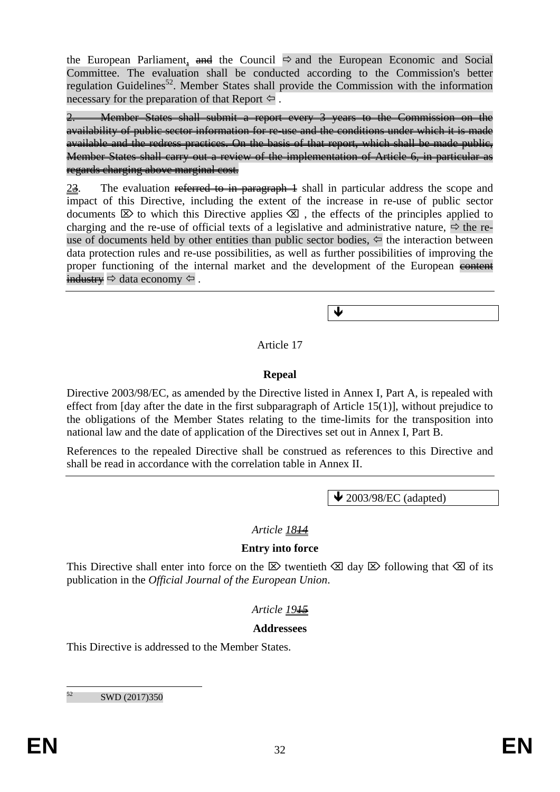the European Parliament,  $\theta$  and the European Economic and Social Committee. The evaluation shall be conducted according to the Commission's better regulation Guidelines<sup>52</sup>. Member States shall provide the Commission with the information necessary for the preparation of that Report  $\Leftrightarrow$ .

2. Member States shall submit a report every 3 years to the Commission on the availability of public sector information for re-use and the conditions under which it is made available and the redress practices. On the basis of that report, which shall be made public, Member States shall carry out a review of the implementation of Article 6, in particular as regards charging above marginal cost.

 $2\frac{3}{2}$ . The evaluation referred to in paragraph 1 shall in particular address the scope and impact of this Directive, including the extent of the increase in re-use of public sector documents  $\boxtimes$  to which this Directive applies  $\boxtimes$ , the effects of the principles applied to charging and the re-use of official texts of a legislative and administrative nature,  $\Rightarrow$  the reuse of documents held by other entities than public sector bodies,  $\Leftrightarrow$  the interaction between data protection rules and re-use possibilities, as well as further possibilities of improving the proper functioning of the internal market and the development of the European content  $\frac{1}{\text{index}}$   $\Rightarrow$  data economy  $\Leftarrow$ .

Article 17

#### **Repeal**

Directive 2003/98/EC, as amended by the Directive listed in Annex I, Part A, is repealed with effect from [day after the date in the first subparagraph of Article 15(1)], without prejudice to the obligations of the Member States relating to the time-limits for the transposition into national law and the date of application of the Directives set out in Annex I, Part B.

References to the repealed Directive shall be construed as references to this Directive and shall be read in accordance with the correlation table in Annex II.

 $\bigvee$  2003/98/EC (adapted)

#### *Article 1814*

#### **Entry into force**

This Directive shall enter into force on the  $\boxtimes$  twentieth  $\boxtimes$  day  $\boxtimes$  following that  $\boxtimes$  of its publication in the *Official Journal of the European Union*.

# *Article 1915*

#### **Addressees**

This Directive is addressed to the Member States.

52 SWD (2017)350